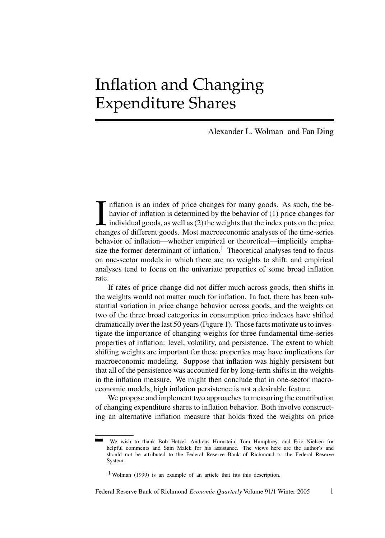## Inflation and Changing Expenditure Shares

Alexander L. Wolman and Fan Ding

I inflation is an index of price changes for many goods. As such, the behavior of inflation is determined by the behavior of (1) price changes for individual goods, as well as (2) the weights that the index puts on the pri nflation is an index of price changes for many goods. As such, the behavior of inflation is determined by the behavior of (1) price changes for individual goods, as well as (2) the weights that the index puts on the price behavior of inflation—whether empirical or theoretical—implicitly emphasize the former determinant of inflation.<sup>1</sup> Theoretical analyses tend to focus on one-sector models in which there are no weights to shift, and empirical analyses tend to focus on the univariate properties of some broad inflation rate.

If rates of price change did not differ much across goods, then shifts in the weights would not matter much for inflation. In fact, there has been substantial variation in price change behavior across goods, and the weights on two of the three broad categories in consumption price indexes have shifted dramatically over the last 50 years (Figure 1). Those facts motivate us to investigate the importance of changing weights for three fundamental time-series properties of inflation: level, volatility, and persistence. The extent to which shifting weights are important for these properties may have implications for macroeconomic modeling. Suppose that inflation was highly persistent but that all of the persistence was accounted for by long-term shifts in the weights in the inflation measure. We might then conclude that in one-sector macroeconomic models, high inflation persistence is not a desirable feature.

We propose and implement two approaches to measuring the contribution of changing expenditure shares to inflation behavior. Both involve constructing an alternative inflation measure that holds fixed the weights on price

We wish to thank Bob Hetzel, Andreas Hornstein, Tom Humphrey, and Eric Nielsen for helpful comments and Sam Malek for his assistance. The views here are the author's and should not be attributed to the Federal Reserve Bank of Richmond or the Federal Reserve System.

<sup>1</sup> Wolman (1999) is an example of an article that fits this description.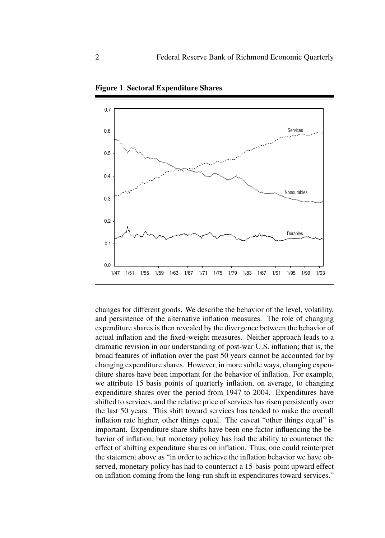

**Figure 1 Sectoral Expenditure Shares**

changes for different goods. We describe the behavior of the level, volatility, and persistence of the alternative inflation measures. The role of changing expenditure shares is then revealed by the divergence between the behavior of actual inflation and the fixed-weight measures. Neither approach leads to a dramatic revision in our understanding of post-war U.S. inflation; that is, the broad features of inflation over the past 50 years cannot be accounted for by changing expenditure shares. However, in more subtle ways, changing expenditure shares have been important for the behavior of inflation. For example, we attribute 15 basis points of quarterly inflation, on average, to changing expenditure shares over the period from 1947 to 2004. Expenditures have shifted to services, and the relative price of services has risen persistently over the last 50 years. This shift toward services has tended to make the overall inflation rate higher, other things equal. The caveat "other things equal" is important. Expenditure share shifts have been one factor influencing the behavior of inflation, but monetary policy has had the ability to counteract the effect of shifting expenditure shares on inflation. Thus, one could reinterpret the statement above as "in order to achieve the inflation behavior we have observed, monetary policy has had to counteract a 15-basis-point upward effect on inflation coming from the long-run shift in expenditures toward services."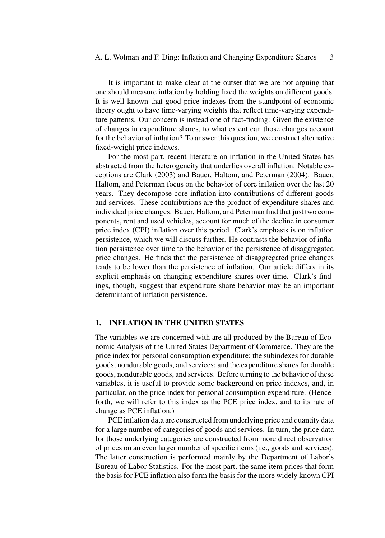It is important to make clear at the outset that we are not arguing that one should measure inflation by holding fixed the weights on different goods. It is well known that good price indexes from the standpoint of economic theory ought to have time-varying weights that reflect time-varying expenditure patterns. Our concern is instead one of fact-finding: Given the existence of changes in expenditure shares, to what extent can those changes account for the behavior of inflation? To answer this question, we construct alternative fixed-weight price indexes.

For the most part, recent literature on inflation in the United States has abstracted from the heterogeneity that underlies overall inflation. Notable exceptions are Clark (2003) and Bauer, Haltom, and Peterman (2004). Bauer, Haltom, and Peterman focus on the behavior of core inflation over the last 20 years. They decompose core inflation into contributions of different goods and services. These contributions are the product of expenditure shares and individual price changes. Bauer, Haltom, and Peterman find that just two components, rent and used vehicles, account for much of the decline in consumer price index (CPI) inflation over this period. Clark's emphasis is on inflation persistence, which we will discuss further. He contrasts the behavior of inflation persistence over time to the behavior of the persistence of disaggregated price changes. He finds that the persistence of disaggregated price changes tends to be lower than the persistence of inflation. Our article differs in its explicit emphasis on changing expenditure shares over time. Clark's findings, though, suggest that expenditure share behavior may be an important determinant of inflation persistence.

## **1. INFLATION IN THE UNITED STATES**

The variables we are concerned with are all produced by the Bureau of Economic Analysis of the United States Department of Commerce. They are the price index for personal consumption expenditure; the subindexes for durable goods, nondurable goods, and services; and the expenditure shares for durable goods, nondurable goods, and services. Before turning to the behavior of these variables, it is useful to provide some background on price indexes, and, in particular, on the price index for personal consumption expenditure. (Henceforth, we will refer to this index as the PCE price index, and to its rate of change as PCE inflation.)

PCE inflation data are constructed from underlying price and quantity data for a large number of categories of goods and services. In turn, the price data for those underlying categories are constructed from more direct observation of prices on an even larger number of specific items (i.e., goods and services). The latter construction is performed mainly by the Department of Labor's Bureau of Labor Statistics. For the most part, the same item prices that form the basis for PCE inflation also form the basis for the more widely known CPI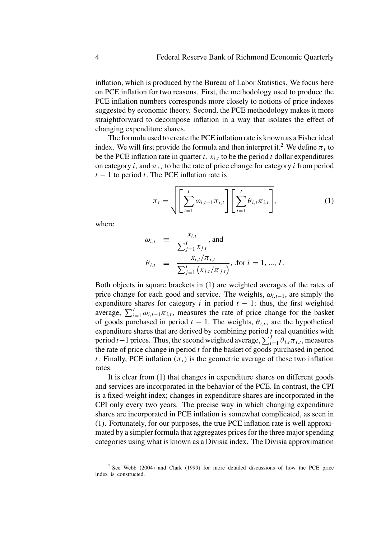inflation, which is produced by the Bureau of Labor Statistics. We focus here on PCE inflation for two reasons. First, the methodology used to produce the PCE inflation numbers corresponds more closely to notions of price indexes suggested by economic theory. Second, the PCE methodology makes it more straightforward to decompose inflation in a way that isolates the effect of changing expenditure shares.

The formula used to create the PCE inflation rate is known as a Fisher ideal index. We will first provide the formula and then interpret it.<sup>2</sup> We define  $\pi_t$  to be the PCE inflation rate in quarter t,  $x_{i,t}$  to be the period t dollar expenditures on category i, and  $\pi_{i,t}$  to be the rate of price change for category i from period  $t - 1$  to period t. The PCE inflation rate is

$$
\pi_t = \sqrt{\left[\sum_{i=1}^I \omega_{i,t-1} \pi_{i,t}\right] \left[\sum_{i=1}^I \theta_{i,t} \pi_{i,t}\right]},
$$
\n(1)

where

$$
\omega_{i,t} \equiv \frac{x_{i,t}}{\sum_{j=1}^{I} x_{j,t}}, \text{and}
$$
\n
$$
\theta_{i,t} \equiv \frac{x_{i,t}/\pi_{i,t}}{\sum_{j=1}^{I} (x_{j,t}/\pi_{j,t})}, \text{ for } i = 1, ..., I.
$$

Both objects in square brackets in (1) are weighted averages of the rates of price change for each good and service. The weights,  $\omega_{i,t-1}$ , are simply the expenditure shares for category i in period  $t - 1$ ; thus, the first weighted average,  $\sum_{i=1}^{I} \omega_{i,t-1} \pi_{i,t}$ , measures the rate of price change for the basket of goods purchased in period  $t - 1$ . The weights,  $\theta_{i,t}$ , are the hypothetical expenditure shares that are derived by combining period  $t$  real quantities with period t – 1 prices. Thus, the second weighted average,  $\sum_{i=1}^{I} \theta_{i,t} \pi_{i,t}$ , measures the rate of price change in period  $t$  for the basket of goods purchased in period t. Finally, PCE inflation  $(\pi_t)$  is the geometric average of these two inflation rates.

It is clear from (1) that changes in expenditure shares on different goods and services are incorporated in the behavior of the PCE. In contrast, the CPI is a fixed-weight index; changes in expenditure shares are incorporated in the CPI only every two years. The precise way in which changing expenditure shares are incorporated in PCE inflation is somewhat complicated, as seen in (1). Fortunately, for our purposes, the true PCE inflation rate is well approximated by a simpler formula that aggregates prices for the three major spending categories using what is known as a Divisia index. The Divisia approximation

<sup>2</sup> See Webb (2004) and Clark (1999) for more detailed discussions of how the PCE price index is constructed.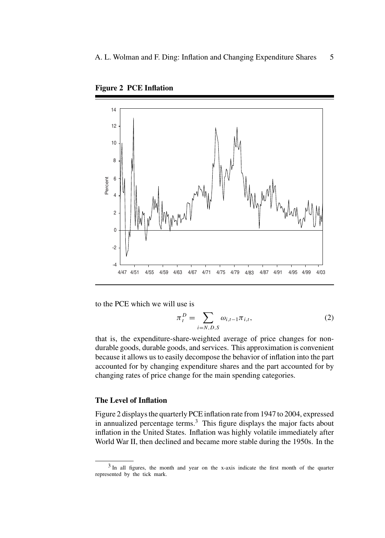

**Figure 2 PCE Inflation**

to the PCE which we will use is

$$
\pi_t^D = \sum_{i=N,D,S} \omega_{i,t-1} \pi_{i,t},
$$
 (2)

that is, the expenditure-share-weighted average of price changes for nondurable goods, durable goods, and services. This approximation is convenient because it allows us to easily decompose the behavior of inflation into the part accounted for by changing expenditure shares and the part accounted for by changing rates of price change for the main spending categories.

## **The Level of Inflation**

Figure 2 displays the quarterly PCE inflation rate from 1947 to 2004, expressed in annualized percentage terms.<sup>3</sup> This figure displays the major facts about inflation in the United States. Inflation was highly volatile immediately after World War II, then declined and became more stable during the 1950s. In the

<sup>3</sup> In all figures, the month and year on the x-axis indicate the first month of the quarter represented by the tick mark.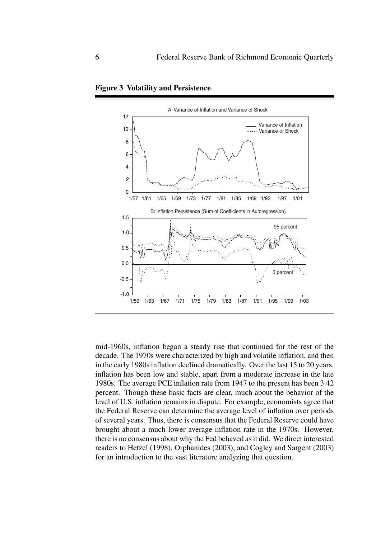

**Figure 3 Volatility and Persistence**

mid-1960s, inflation began a steady rise that continued for the rest of the decade. The 1970s were characterized by high and volatile inflation, and then in the early 1980s inflation declined dramatically. Over the last 15 to 20 years, inflation has been low and stable, apart from a moderate increase in the late 1980s. The average PCE inflation rate from 1947 to the present has been 3.42 percent. Though these basic facts are clear, much about the behavior of the level of U.S. inflation remains in dispute. For example, economists agree that the Federal Reserve can determine the average level of inflation over periods of several years. Thus, there is consensus that the Federal Reserve could have brought about a much lower average inflation rate in the 1970s. However, there is no consensus about why the Fed behaved as it did. We direct interested readers to Hetzel (1998), Orphanides (2003), and Cogley and Sargent (2003) for an introduction to the vast literature analyzing that question.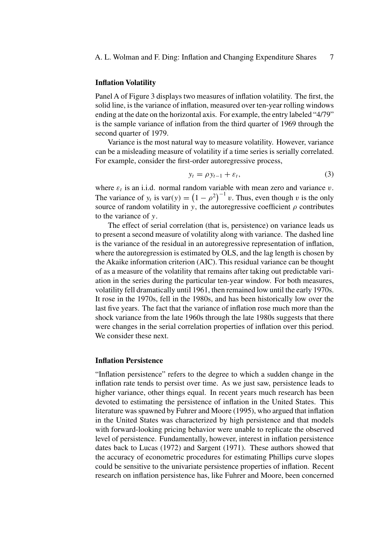## **Inflation Volatility**

Panel A of Figure 3 displays two measures of inflation volatility. The first, the solid line, is the variance of inflation, measured over ten-year rolling windows ending at the date on the horizontal axis. For example, the entry labeled "4/79" is the sample variance of inflation from the third quarter of 1969 through the second quarter of 1979.

Variance is the most natural way to measure volatility. However, variance can be a misleading measure of volatility if a time series is serially correlated. For example, consider the first-order autoregressive process,

$$
y_t = \rho y_{t-1} + \varepsilon_t, \tag{3}
$$

where  $\varepsilon_t$  is an i.i.d. normal random variable with mean zero and variance v. The variance of  $y_t$  is var(y) =  $(1 - \rho^2)^{-1} v$ . Thus, even though v is the only source of random volatility in y, the autoregressive coefficient  $\rho$  contributes to the variance of y.

The effect of serial correlation (that is, persistence) on variance leads us to present a second measure of volatility along with variance. The dashed line is the variance of the residual in an autoregressive representation of inflation, where the autoregression is estimated by OLS, and the lag length is chosen by the Akaike information criterion (AIC). This residual variance can be thought of as a measure of the volatility that remains after taking out predictable variation in the series during the particular ten-year window. For both measures, volatility fell dramatically until 1961, then remained low until the early 1970s. It rose in the 1970s, fell in the 1980s, and has been historically low over the last five years. The fact that the variance of inflation rose much more than the shock variance from the late 1960s through the late 1980s suggests that there were changes in the serial correlation properties of inflation over this period. We consider these next.

#### **Inflation Persistence**

"Inflation persistence" refers to the degree to which a sudden change in the inflation rate tends to persist over time. As we just saw, persistence leads to higher variance, other things equal. In recent years much research has been devoted to estimating the persistence of inflation in the United States. This literature was spawned by Fuhrer and Moore (1995), who argued that inflation in the United States was characterized by high persistence and that models with forward-looking pricing behavior were unable to replicate the observed level of persistence. Fundamentally, however, interest in inflation persistence dates back to Lucas (1972) and Sargent (1971). These authors showed that the accuracy of econometric procedures for estimating Phillips curve slopes could be sensitive to the univariate persistence properties of inflation. Recent research on inflation persistence has, like Fuhrer and Moore, been concerned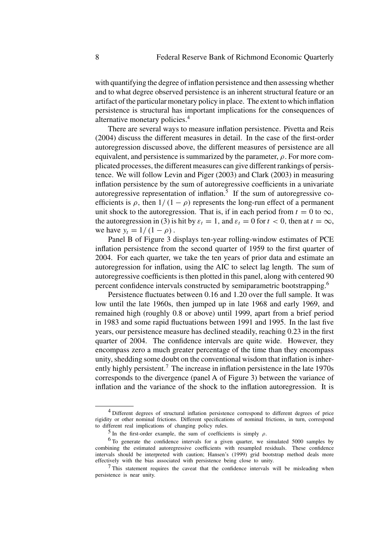with quantifying the degree of inflation persistence and then assessing whether and to what degree observed persistence is an inherent structural feature or an artifact of the particular monetary policy in place. The extent to which inflation persistence is structural has important implications for the consequences of alternative monetary policies.<sup>4</sup>

There are several ways to measure inflation persistence. Pivetta and Reis (2004) discuss the different measures in detail. In the case of the first-order autoregression discussed above, the different measures of persistence are all equivalent, and persistence is summarized by the parameter,  $\rho$ . For more complicated processes, the different measures can give different rankings of persistence. We will follow Levin and Piger (2003) and Clark (2003) in measuring inflation persistence by the sum of autoregressive coefficients in a univariate autoregressive representation of inflation. $\frac{5}{10}$  If the sum of autoregressive coefficients is  $\rho$ , then  $1/(1 - \rho)$  represents the long-run effect of a permanent unit shock to the autoregression. That is, if in each period from  $t = 0$  to  $\infty$ , the autoregression in (3) is hit by  $\varepsilon_t = 1$ , and  $\varepsilon_t = 0$  for  $t < 0$ , then at  $t = \infty$ , we have  $y_t = 1/(1 - \rho)$ .

Panel B of Figure 3 displays ten-year rolling-window estimates of PCE inflation persistence from the second quarter of 1959 to the first quarter of 2004. For each quarter, we take the ten years of prior data and estimate an autoregression for inflation, using the AIC to select lag length. The sum of autoregressive coefficients is then plotted in this panel, along with centered 90 percent confidence intervals constructed by semiparametric bootstrapping.<sup>6</sup>

Persistence fluctuates between 0.16 and 1.20 over the full sample. It was low until the late 1960s, then jumped up in late 1968 and early 1969, and remained high (roughly 0.8 or above) until 1999, apart from a brief period in 1983 and some rapid fluctuations between 1991 and 1995. In the last five years, our persistence measure has declined steadily, reaching 0.23 in the first quarter of 2004. The confidence intervals are quite wide. However, they encompass zero a much greater percentage of the time than they encompass unity, shedding some doubt on the conventional wisdom that inflation is inherently highly persistent.<sup>7</sup> The increase in inflation persistence in the late  $1970s$ corresponds to the divergence (panel A of Figure 3) between the variance of inflation and the variance of the shock to the inflation autoregression. It is

<sup>&</sup>lt;sup>4</sup> Different degrees of structural inflation persistence correspond to different degrees of price rigidity or other nominal frictions. Different specifications of nominal frictions, in turn, correspond to different real implications of changing policy rules.

<sup>&</sup>lt;sup>5</sup> In the first-order example, the sum of coefficients is simply  $\rho$ .

<sup>&</sup>lt;sup>6</sup> To generate the confidence intervals for a given quarter, we simulated 5000 samples by combining the estimated autoregressive coefficients with resampled residuals. These confidence intervals should be interpreted with caution; Hansen's (1999) grid bootstrap method deals more effectively with the bias associated with persistence being close to unity.

 $<sup>7</sup>$  This statement requires the caveat that the confidence intervals will be misleading when</sup> persistence is near unity.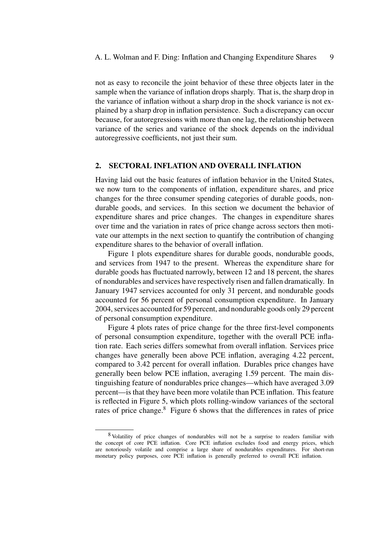not as easy to reconcile the joint behavior of these three objects later in the sample when the variance of inflation drops sharply. That is, the sharp drop in the variance of inflation without a sharp drop in the shock variance is not explained by a sharp drop in inflation persistence. Such a discrepancy can occur because, for autoregressions with more than one lag, the relationship between variance of the series and variance of the shock depends on the individual autoregressive coefficients, not just their sum.

## **2. SECTORAL INFLATION AND OVERALL INFLATION**

Having laid out the basic features of inflation behavior in the United States, we now turn to the components of inflation, expenditure shares, and price changes for the three consumer spending categories of durable goods, nondurable goods, and services. In this section we document the behavior of expenditure shares and price changes. The changes in expenditure shares over time and the variation in rates of price change across sectors then motivate our attempts in the next section to quantify the contribution of changing expenditure shares to the behavior of overall inflation.

Figure 1 plots expenditure shares for durable goods, nondurable goods, and services from 1947 to the present. Whereas the expenditure share for durable goods has fluctuated narrowly, between 12 and 18 percent, the shares of nondurables and services have respectively risen and fallen dramatically. In January 1947 services accounted for only 31 percent, and nondurable goods accounted for 56 percent of personal consumption expenditure. In January 2004, services accounted for 59 percent, and nondurable goods only 29 percent of personal consumption expenditure.

Figure 4 plots rates of price change for the three first-level components of personal consumption expenditure, together with the overall PCE inflation rate. Each series differs somewhat from overall inflation. Services price changes have generally been above PCE inflation, averaging 4.22 percent, compared to 3.42 percent for overall inflation. Durables price changes have generally been below PCE inflation, averaging 1.59 percent. The main distinguishing feature of nondurables price changes—which have averaged 3.09 percent—is that they have been more volatile than PCE inflation. This feature is reflected in Figure 5, which plots rolling-window variances of the sectoral rates of price change.<sup>8</sup> Figure 6 shows that the differences in rates of price

<sup>8</sup> Volatility of price changes of nondurables will not be a surprise to readers familiar with the concept of core PCE inflation. Core PCE inflation excludes food and energy prices, which are notoriously volatile and comprise a large share of nondurables expenditures. For short-run monetary policy purposes, core PCE inflation is generally preferred to overall PCE inflation.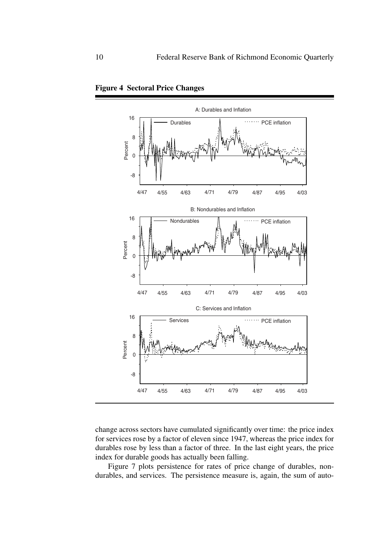



change across sectors have cumulated significantly over time: the price index for services rose by a factor of eleven since 1947, whereas the price index for durables rose by less than a factor of three. In the last eight years, the price index for durable goods has actually been falling.

Figure 7 plots persistence for rates of price change of durables, nondurables, and services. The persistence measure is, again, the sum of auto-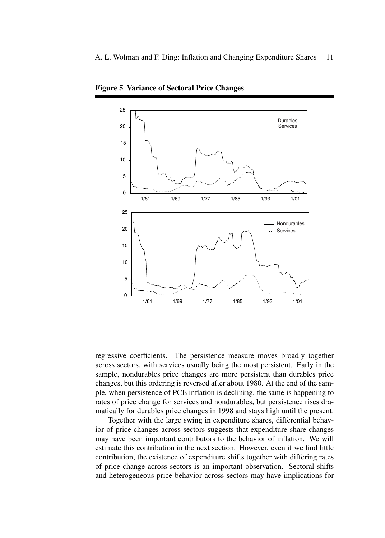

**Figure 5 Variance of Sectoral Price Changes**

regressive coefficients. The persistence measure moves broadly together across sectors, with services usually being the most persistent. Early in the sample, nondurables price changes are more persistent than durables price changes, but this ordering is reversed after about 1980. At the end of the sample, when persistence of PCE inflation is declining, the same is happening to rates of price change for services and nondurables, but persistence rises dramatically for durables price changes in 1998 and stays high until the present.

Together with the large swing in expenditure shares, differential behavior of price changes across sectors suggests that expenditure share changes may have been important contributors to the behavior of inflation. We will estimate this contribution in the next section. However, even if we find little contribution, the existence of expenditure shifts together with differing rates of price change across sectors is an important observation. Sectoral shifts and heterogeneous price behavior across sectors may have implications for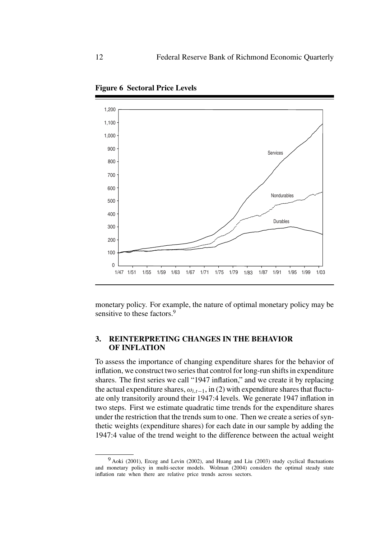

**Figure 6 Sectoral Price Levels**

monetary policy. For example, the nature of optimal monetary policy may be sensitive to these factors.<sup>9</sup>

## **3. REINTERPRETING CHANGES IN THE BEHAVIOR OF INFLATION**

To assess the importance of changing expenditure shares for the behavior of inflation, we construct two series that control for long-run shifts in expenditure shares. The first series we call "1947 inflation," and we create it by replacing the actual expenditure shares,  $\omega_{i,t-1}$ , in (2) with expenditure shares that fluctuate only transitorily around their 1947:4 levels. We generate 1947 inflation in two steps. First we estimate quadratic time trends for the expenditure shares under the restriction that the trends sum to one. Then we create a series of synthetic weights (expenditure shares) for each date in our sample by adding the 1947:4 value of the trend weight to the difference between the actual weight

<sup>9</sup> Aoki (2001), Erceg and Levin (2002), and Huang and Liu (2003) study cyclical fluctuations and monetary policy in multi-sector models. Wolman (2004) considers the optimal steady state inflation rate when there are relative price trends across sectors.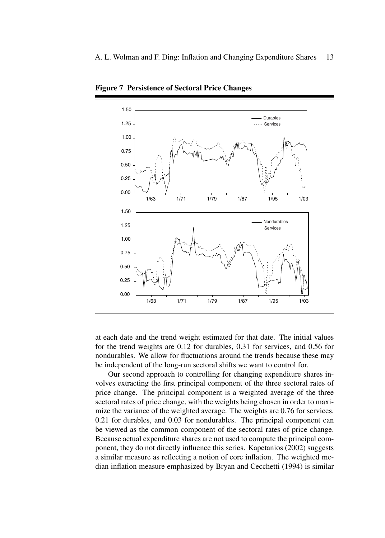

**Figure 7 Persistence of Sectoral Price Changes**

at each date and the trend weight estimated for that date. The initial values for the trend weights are 0.12 for durables, 0.31 for services, and 0.56 for nondurables. We allow for fluctuations around the trends because these may be independent of the long-run sectoral shifts we want to control for.

Our second approach to controlling for changing expenditure shares involves extracting the first principal component of the three sectoral rates of price change. The principal component is a weighted average of the three sectoral rates of price change, with the weights being chosen in order to maximize the variance of the weighted average. The weights are 0.76 for services, 0.21 for durables, and 0.03 for nondurables. The principal component can be viewed as the common component of the sectoral rates of price change. Because actual expenditure shares are not used to compute the principal component, they do not directly influence this series. Kapetanios (2002) suggests a similar measure as reflecting a notion of core inflation. The weighted median inflation measure emphasized by Bryan and Cecchetti (1994) is similar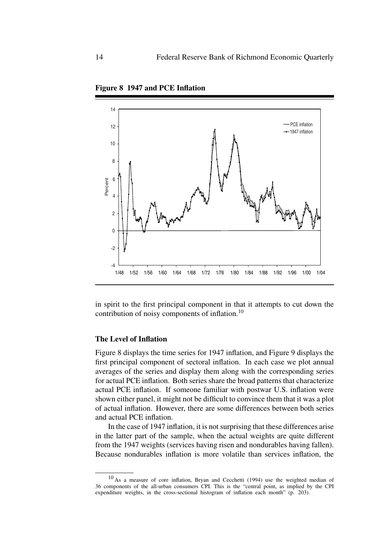

**Figure 8 1947 and PCE Inflation**

in spirit to the first principal component in that it attempts to cut down the contribution of noisy components of inflation.<sup>10</sup>

## **The Level of Inflation**

Figure 8 displays the time series for 1947 inflation, and Figure 9 displays the first principal component of sectoral inflation. In each case we plot annual averages of the series and display them along with the corresponding series for actual PCE inflation. Both series share the broad patterns that characterize actual PCE inflation. If someone familiar with postwar U.S. inflation were shown either panel, it might not be difficult to convince them that it was a plot of actual inflation. However, there are some differences between both series and actual PCE inflation.

In the case of 1947 inflation, it is not surprising that these differences arise in the latter part of the sample, when the actual weights are quite different from the 1947 weights (services having risen and nondurables having fallen). Because nondurables inflation is more volatile than services inflation, the

<sup>10</sup> As a measure of core inflation, Bryan and Cecchetti (1994) use the weighted median of 36 components of the all-urban consumers CPI. This is the "central point, as implied by the CPI expenditure weights, in the cross-sectional histogram of inflation each month" (p. 203).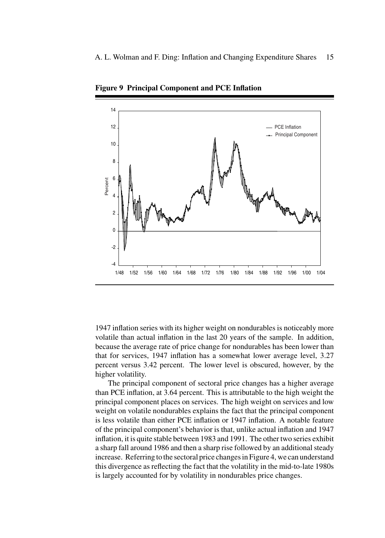

**Figure 9 Principal Component and PCE Inflation**

1947 inflation series with its higher weight on nondurables is noticeably more volatile than actual inflation in the last 20 years of the sample. In addition, because the average rate of price change for nondurables has been lower than that for services, 1947 inflation has a somewhat lower average level, 3.27 percent versus 3.42 percent. The lower level is obscured, however, by the higher volatility.

The principal component of sectoral price changes has a higher average than PCE inflation, at 3.64 percent. This is attributable to the high weight the principal component places on services. The high weight on services and low weight on volatile nondurables explains the fact that the principal component is less volatile than either PCE inflation or 1947 inflation. A notable feature of the principal component's behavior is that, unlike actual inflation and 1947 inflation, it is quite stable between 1983 and 1991. The other two series exhibit a sharp fall around 1986 and then a sharp rise followed by an additional steady increase. Referring to the sectoral price changes in Figure 4, we can understand this divergence as reflecting the fact that the volatility in the mid-to-late 1980s is largely accounted for by volatility in nondurables price changes.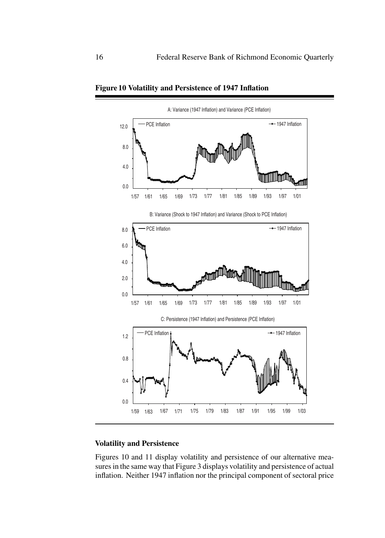

**Figure 10 Volatility and Persistence of 1947 Inflation**

## **Volatility and Persistence**

Figures 10 and 11 display volatility and persistence of our alternative measures in the same way that Figure 3 displays volatility and persistence of actual inflation. Neither 1947 inflation nor the principal component of sectoral price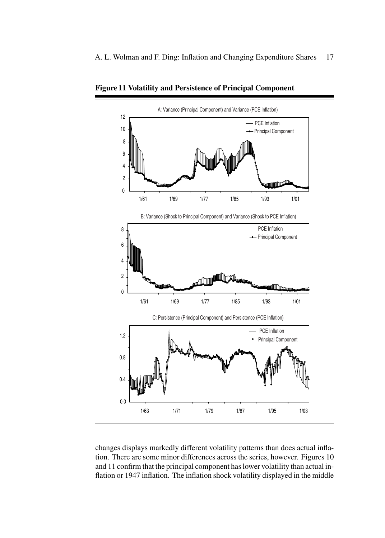

**Figure 11 Volatility and Persistence of Principal Component**

changes displays markedly different volatility patterns than does actual inflation. There are some minor differences across the series, however. Figures 10 and 11 confirm that the principal component has lower volatility than actual inflation or 1947 inflation. The inflation shock volatility displayed in the middle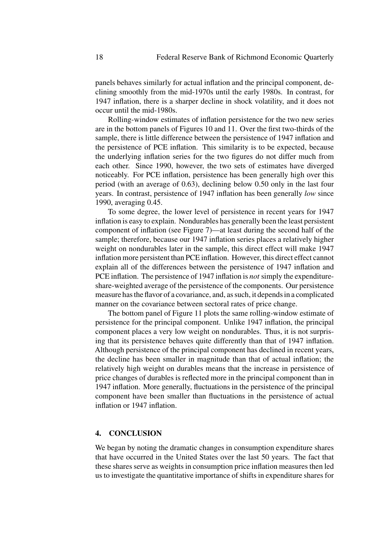panels behaves similarly for actual inflation and the principal component, declining smoothly from the mid-1970s until the early 1980s. In contrast, for 1947 inflation, there is a sharper decline in shock volatility, and it does not occur until the mid-1980s.

Rolling-window estimates of inflation persistence for the two new series are in the bottom panels of Figures 10 and 11. Over the first two-thirds of the sample, there is little difference between the persistence of 1947 inflation and the persistence of PCE inflation. This similarity is to be expected, because the underlying inflation series for the two figures do not differ much from each other. Since 1990, however, the two sets of estimates have diverged noticeably. For PCE inflation, persistence has been generally high over this period (with an average of 0.63), declining below 0.50 only in the last four years. In contrast, persistence of 1947 inflation has been generally *low* since 1990, averaging 0.45.

To some degree, the lower level of persistence in recent years for 1947 inflation is easy to explain. Nondurables has generally been the least persistent component of inflation (see Figure 7)—at least during the second half of the sample; therefore, because our 1947 inflation series places a relatively higher weight on nondurables later in the sample, this direct effect will make 1947 inflation more persistent than PCE inflation. However, this direct effect cannot explain all of the differences between the persistence of 1947 inflation and PCE inflation. The persistence of 1947 inflation is *not* simply the expenditureshare-weighted average of the persistence of the components. Our persistence measure has the flavor of a covariance, and, as such, it depends in a complicated manner on the covariance between sectoral rates of price change.

The bottom panel of Figure 11 plots the same rolling-window estimate of persistence for the principal component. Unlike 1947 inflation, the principal component places a very low weight on nondurables. Thus, it is not surprising that its persistence behaves quite differently than that of 1947 inflation. Although persistence of the principal component has declined in recent years, the decline has been smaller in magnitude than that of actual inflation; the relatively high weight on durables means that the increase in persistence of price changes of durables is reflected more in the principal component than in 1947 inflation. More generally, fluctuations in the persistence of the principal component have been smaller than fluctuations in the persistence of actual inflation or 1947 inflation.

## **4. CONCLUSION**

We began by noting the dramatic changes in consumption expenditure shares that have occurred in the United States over the last 50 years. The fact that these shares serve as weights in consumption price inflation measures then led us to investigate the quantitative importance of shifts in expenditure shares for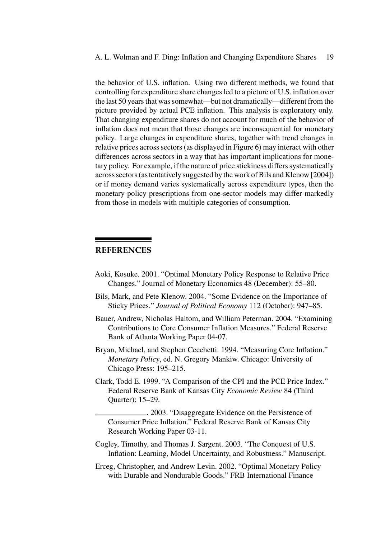the behavior of U.S. inflation. Using two different methods, we found that controlling for expenditure share changes led to a picture of U.S. inflation over the last 50 years that was somewhat—but not dramatically—different from the picture provided by actual PCE inflation. This analysis is exploratory only. That changing expenditure shares do not account for much of the behavior of inflation does not mean that those changes are inconsequential for monetary policy. Large changes in expenditure shares, together with trend changes in relative prices across sectors (as displayed in Figure 6) may interact with other differences across sectors in a way that has important implications for monetary policy. For example, if the nature of price stickiness differs systematically across sectors (as tentatively suggested by the work of Bils and Klenow [2004]) or if money demand varies systematically across expenditure types, then the monetary policy prescriptions from one-sector models may differ markedly from those in models with multiple categories of consumption.

## **REFERENCES**

- Aoki, Kosuke. 2001. "Optimal Monetary Policy Response to Relative Price Changes." Journal of Monetary Economics 48 (December): 55–80.
- Bils, Mark, and Pete Klenow. 2004. "Some Evidence on the Importance of Sticky Prices." *Journal of Political Economy* 112 (October): 947–85.
- Bauer, Andrew, Nicholas Haltom, and William Peterman. 2004. "Examining Contributions to Core Consumer Inflation Measures." Federal Reserve Bank of Atlanta Working Paper 04-07.
- Bryan, Michael, and Stephen Cecchetti. 1994. "Measuring Core Inflation." *Monetary Policy*, ed. N. Gregory Mankiw. Chicago: University of Chicago Press: 195–215.
- Clark, Todd E. 1999. "A Comparison of the CPI and the PCE Price Index." Federal Reserve Bank of Kansas City *Economic Review* 84 (Third Quarter): 15–29.

. 2003. "Disaggregate Evidence on the Persistence of Consumer Price Inflation." Federal Reserve Bank of Kansas City Research Working Paper 03-11.

- Cogley, Timothy, and Thomas J. Sargent. 2003. "The Conquest of U.S. Inflation: Learning, Model Uncertainty, and Robustness." Manuscript.
- Erceg, Christopher, and Andrew Levin. 2002. "Optimal Monetary Policy with Durable and Nondurable Goods." FRB International Finance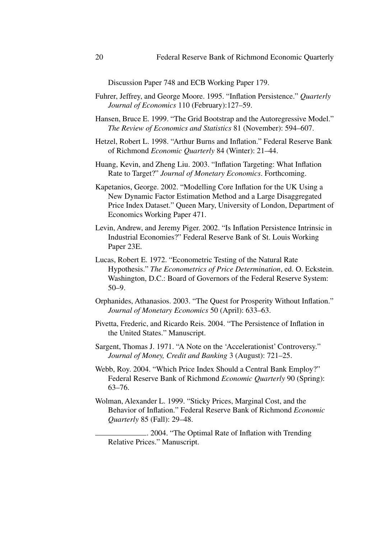Discussion Paper 748 and ECB Working Paper 179.

- Fuhrer, Jeffrey, and George Moore. 1995. "Inflation Persistence." *Quarterly Journal of Economics* 110 (February):127–59.
- Hansen, Bruce E. 1999. "The Grid Bootstrap and the Autoregressive Model." *The Review of Economics and Statistics* 81 (November): 594–607.
- Hetzel, Robert L. 1998. "Arthur Burns and Inflation." Federal Reserve Bank of Richmond *Economic Quarterly* 84 (Winter): 21–44.
- Huang, Kevin, and Zheng Liu. 2003. "Inflation Targeting: What Inflation Rate to Target?" *Journal of Monetary Economics*. Forthcoming.
- Kapetanios, George. 2002. "Modelling Core Inflation for the UK Using a New Dynamic Factor Estimation Method and a Large Disaggregated Price Index Dataset." Queen Mary, University of London, Department of Economics Working Paper 471.
- Levin, Andrew, and Jeremy Piger. 2002. "Is Inflation Persistence Intrinsic in Industrial Economies?" Federal Reserve Bank of St. Louis Working Paper 23E.
- Lucas, Robert E. 1972. "Econometric Testing of the Natural Rate Hypothesis." *The Econometrics of Price Determination*, ed. O. Eckstein. Washington, D.C.: Board of Governors of the Federal Reserve System: 50–9.
- Orphanides, Athanasios. 2003. "The Quest for Prosperity Without Inflation." *Journal of Monetary Economics* 50 (April): 633–63.
- Pivetta, Frederic, and Ricardo Reis. 2004. "The Persistence of Inflation in the United States." Manuscript.
- Sargent, Thomas J. 1971. "A Note on the 'Accelerationist' Controversy." *Journal of Money, Credit and Banking* 3 (August): 721–25.
- Webb, Roy. 2004. "Which Price Index Should a Central Bank Employ?" Federal Reserve Bank of Richmond *Economic Quarterly* 90 (Spring): 63–76.
- Wolman, Alexander L. 1999. "Sticky Prices, Marginal Cost, and the Behavior of Inflation." Federal Reserve Bank of Richmond *Economic Quarterly* 85 (Fall): 29–48.

. 2004. "The Optimal Rate of Inflation with Trending Relative Prices." Manuscript.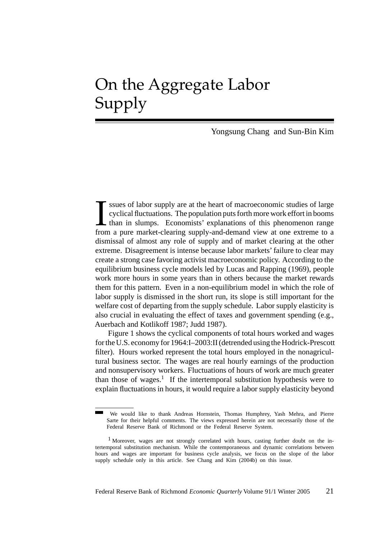# On the Aggregate Labor Supply

Yongsung Chang and Sun-Bin Kim

I ssues of labor supply are at the heart of macroeconomic studies of large cyclical fluctuations. The population puts forth more work effort in booms than in slumps. Economists' explanations of this phenomenon range from a ssues of labor supply are at the heart of macroeconomic studies of large cyclical fluctuations. The population puts forth more work effort in booms than in slumps. Economists' explanations of this phenomenon range dismissal of almost any role of supply and of market clearing at the other extreme. Disagreement is intense because labor markets' failure to clear may create a strong case favoring activist macroeconomic policy. According to the equilibrium business cycle models led by Lucas and Rapping (1969), people work more hours in some years than in others because the market rewards them for this pattern. Even in a non-equilibrium model in which the role of labor supply is dismissed in the short run, its slope is still important for the welfare cost of departing from the supply schedule. Labor supply elasticity is also crucial in evaluating the effect of taxes and government spending (e.g., Auerbach and Kotlikoff 1987; Judd 1987).

Figure 1 shows the cyclical components of total hours worked and wages for the U.S. economy for 1964:I–2003:II (detrended using the Hodrick-Prescott filter). Hours worked represent the total hours employed in the nonagricultural business sector. The wages are real hourly earnings of the production and nonsupervisory workers. Fluctuations of hours of work are much greater than those of wages.<sup>1</sup> If the intertemporal substitution hypothesis were to explain fluctuations in hours, it would require a labor supply elasticity beyond

We would like to thank Andreas Hornstein, Thomas Humphrey, Yash Mehra, and Pierre Sarte for their helpful comments. The views expressed herein are not necessarily those of the Federal Reserve Bank of Richmond or the Federal Reserve System.

<sup>1</sup> Moreover, wages are not strongly correlated with hours, casting further doubt on the intertemporal substitution mechanism. While the contemporaneous and dynamic correlations between hours and wages are important for business cycle analysis, we focus on the slope of the labor supply schedule only in this article. See Chang and Kim (2004b) on this issue.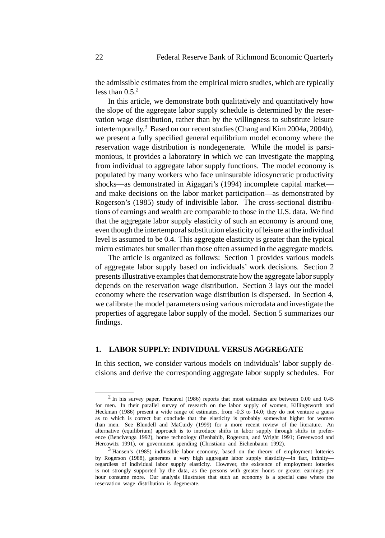the admissible estimates from the empirical micro studies, which are typically less than  $0.5<sup>2</sup>$ 

In this article, we demonstrate both qualitatively and quantitatively how the slope of the aggregate labor supply schedule is determined by the reservation wage distribution, rather than by the willingness to substitute leisure intertemporally.<sup>3</sup> Based on our recent studies (Chang and Kim 2004a, 2004b), we present a fully specified general equilibrium model economy where the reservation wage distribution is nondegenerate. While the model is parsimonious, it provides a laboratory in which we can investigate the mapping from individual to aggregate labor supply functions. The model economy is populated by many workers who face uninsurable idiosyncratic productivity shocks—as demonstrated in Aigagari's (1994) incomplete capital market and make decisions on the labor market participation—as demonstrated by Rogerson's (1985) study of indivisible labor. The cross-sectional distributions of earnings and wealth are comparable to those in the U.S. data. We find that the aggregate labor supply elasticity of such an economy is around one, even though the intertemporal substitution elasticity of leisure at the individual level is assumed to be 0.4. This aggregate elasticity is greater than the typical micro estimates but smaller than those often assumed in the aggregate models.

The article is organized as follows: Section 1 provides various models of aggregate labor supply based on individuals' work decisions. Section 2 presents illustrative examples that demonstrate how the aggregate labor supply depends on the reservation wage distribution. Section 3 lays out the model economy where the reservation wage distribution is dispersed. In Section 4, we calibrate the model parameters using various microdata and investigate the properties of aggregate labor supply of the model. Section 5 summarizes our findings.

## **1. LABOR SUPPLY: INDIVIDUAL VERSUS AGGREGATE**

In this section, we consider various models on individuals' labor supply decisions and derive the corresponding aggregate labor supply schedules. For

<sup>2</sup> In his survey paper, Pencavel (1986) reports that most estimates are between 0.00 and 0.45 for men. In their parallel survey of research on the labor supply of women, Killingsworth and Heckman (1986) present a wide range of estimates, from -0.3 to 14.0; they do not venture a guess as to which is correct but conclude that the elasticity is probably somewhat higher for women than men. See Blundell and MaCurdy (1999) for a more recent review of the literature. An alternative (equilibrium) approach is to introduce shifts in labor supply through shifts in preference (Bencivenga 1992), home technology (Benhabib, Rogerson, and Wright 1991; Greenwood and Hercowitz 1991), or government spending (Christiano and Eichenbaum 1992).

<sup>3</sup> Hansen's (1985) indivisible labor economy, based on the theory of employment lotteries by Rogerson (1988), generates a very high aggregate labor supply elasticity—in fact, infinity regardless of individual labor supply elasticity. However, the existence of employment lotteries is not strongly supported by the data, as the persons with greater hours or greater earnings per hour consume more. Our analysis illustrates that such an economy is a special case where the reservation wage distribution is degenerate.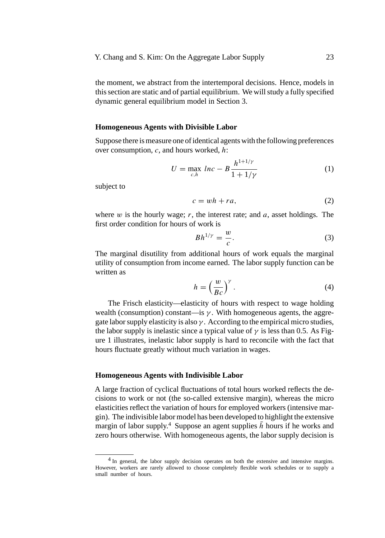the moment, we abstract from the intertemporal decisions. Hence, models in this section are static and of partial equilibrium. We will study a fully specified dynamic general equilibrium model in Section 3.

## **Homogeneous Agents with Divisible Labor**

Suppose there is measure one of identical agents with the following preferences over consumption, *c*, and hours worked, *h*:

$$
U = \max_{c,h} \ln c - B \frac{h^{1+1/\gamma}}{1+1/\gamma}
$$
 (1)

subject to

$$
c = wh + ra,\tag{2}
$$

where *w* is the hourly wage; *r*, the interest rate; and *a*, asset holdings. The first order condition for hours of work is

$$
Bh^{1/\gamma} = \frac{w}{c}.\tag{3}
$$

The marginal disutility from additional hours of work equals the marginal utility of consumption from income earned. The labor supply function can be written as

$$
h = \left(\frac{w}{Bc}\right)^{\gamma}.
$$
 (4)

The Frisch elasticity—elasticity of hours with respect to wage holding wealth (consumption) constant—is  $\gamma$ . With homogeneous agents, the aggregate labor supply elasticity is also  $\gamma$ . According to the empirical micro studies, the labor supply is inelastic since a typical value of  $\gamma$  is less than 0.5. As Figure 1 illustrates, inelastic labor supply is hard to reconcile with the fact that hours fluctuate greatly without much variation in wages.

#### **Homogeneous Agents with Indivisible Labor**

A large fraction of cyclical fluctuations of total hours worked reflects the decisions to work or not (the so-called extensive margin), whereas the micro elasticities reflect the variation of hours for employed workers (intensive margin). The indivisible labor model has been developed to highlight the extensive margin of labor supply.<sup>4</sup> Suppose an agent supplies  $\bar{h}$  hours if he works and zero hours otherwise. With homogeneous agents, the labor supply decision is

<sup>&</sup>lt;sup>4</sup> In general, the labor supply decision operates on both the extensive and intensive margins. However, workers are rarely allowed to choose completely flexible work schedules or to supply a small number of hours.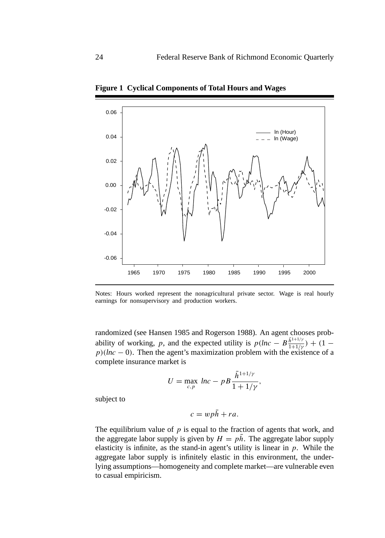

**Figure 1 Cyclical Components of Total Hours and Wages**

Notes: Hours worked represent the nonagricultural private sector. Wage is real hourly earnings for nonsupervisory and production workers.

randomized (see Hansen 1985 and Rogerson 1988). An agent chooses probability of working, *p*, and the expected utility is  $p(hc - B \frac{\bar{h}^{1+1/\gamma}}{1+1/\gamma}) + (1$  $p$ )(*lnc* − 0). Then the agent's maximization problem with the existence of a complete insurance market is

$$
U = \max_{c,p} \, \ln c - p \, B \frac{\bar{h}^{1+1/\gamma}}{1 + 1/\gamma},
$$

subject to

$$
c = wp\bar{h} + ra.
$$

The equilibrium value of  $p$  is equal to the fraction of agents that work, and the aggregate labor supply is given by  $H = p\bar{h}$ . The aggregate labor supply elasticity is infinite, as the stand-in agent's utility is linear in *p*. While the aggregate labor supply is infinitely elastic in this environment, the underlying assumptions—homogeneity and complete market—are vulnerable even to casual empiricism.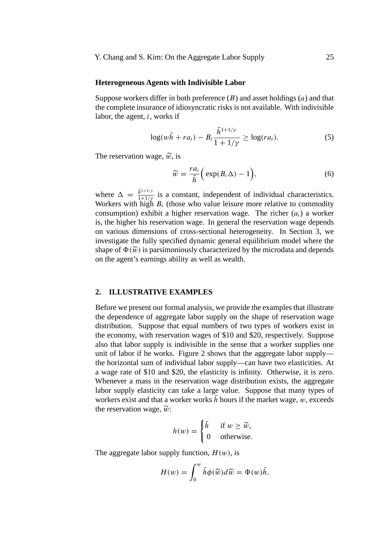## **Heterogeneous Agents with Indivisible Labor**

Suppose workers differ in both preference (*B*) and asset holdings (*a*) and that the complete insurance of idiosyncratic risks is not available. With indivisible labor, the agent, *i*, works if

$$
\log(w\bar{h} + ra_i) - B_i \frac{\bar{h}^{1+1/\gamma}}{1 + 1/\gamma} \ge \log-ra_i).
$$
 (5)

The reservation wage,  $\tilde{w}$ , is

$$
\widetilde{w} = \frac{ra_i}{\overline{h}} \Big( \exp(B_i \Delta) - 1 \Big), \tag{6}
$$

where  $\Delta = \frac{\bar{h}^{1+1/\gamma}}{1+1/\gamma}$  is a constant, independent of individual characteristics. Workers with high  $B_i$  (those who value leisure more relative to commodity consumption) exhibit a higher reservation wage. The richer (*ai*) a worker is, the higher his reservation wage. In general the reservation wage depends on various dimensions of cross-sectional heterogeneity. In Section 3, we investigate the fully specified dynamic general equilibrium model where the shape of  $\Phi(\tilde{w})$  is parsimoniously characterized by the microdata and depends on the agent's earnings ability as well as wealth.

## **2. ILLUSTRATIVE EXAMPLES**

Before we present our formal analysis, we provide the examples that illustrate the dependence of aggregate labor supply on the shape of reservation wage distribution. Suppose that equal numbers of two types of workers exist in the economy, with reservation wages of \$10 and \$20, respectively. Suppose also that labor supply is indivisible in the sense that a worker supplies one unit of labor if he works. Figure 2 shows that the aggregate labor supply the horizontal sum of individual labor supply—can have two elasticities. At a wage rate of \$10 and \$20, the elasticity is infinity. Otherwise, it is zero. Whenever a mass in the reservation wage distribution exists, the aggregate labor supply elasticity can take a large value. Suppose that many types of workers exist and that a worker works  $h$  hours if the market wage,  $w$ , exceeds the reservation wage,  $\tilde{w}$ :

$$
h(w) = \begin{cases} \bar{h} & \text{if } w \ge \widetilde{w}, \\ 0 & \text{otherwise.} \end{cases}
$$

The aggregate labor supply function,  $H(w)$ , is

$$
H(w) = \int_0^w \bar{h}\phi(\widetilde{w})d\widetilde{w} = \Phi(w)\bar{h}.
$$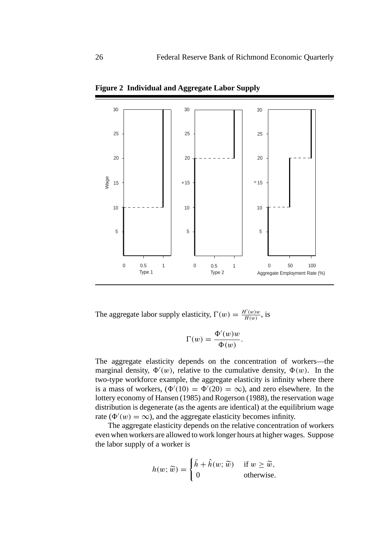

**Figure 2 Individual and Aggregate Labor Supply**

The aggregate labor supply elasticity,  $\Gamma(w) = \frac{H'(w)w}{H(w)}$ , is

$$
\Gamma(w) = \frac{\Phi'(w)w}{\Phi(w)}.
$$

The aggregate elasticity depends on the concentration of workers—the marginal density,  $\Phi'(w)$ , relative to the cumulative density,  $\Phi(w)$ . In the two-type workforce example, the aggregate elasticity is infinity where there is a mass of workers,  $(\Phi'(10) = \Phi'(20) = \infty)$ , and zero elsewhere. In the lottery economy of Hansen (1985) and Rogerson (1988), the reservation wage distribution is degenerate (as the agents are identical) at the equilibrium wage rate ( $\Phi'(w) = \infty$ ), and the aggregate elasticity becomes infinity.

The aggregate elasticity depends on the relative concentration of workers even when workers are allowed to work longer hours at higher wages. Suppose the labor supply of a worker is

$$
h(w; \widetilde{w}) = \begin{cases} \bar{h} + \hat{h}(w; \widetilde{w}) & \text{if } w \ge \widetilde{w}, \\ 0 & \text{otherwise.} \end{cases}
$$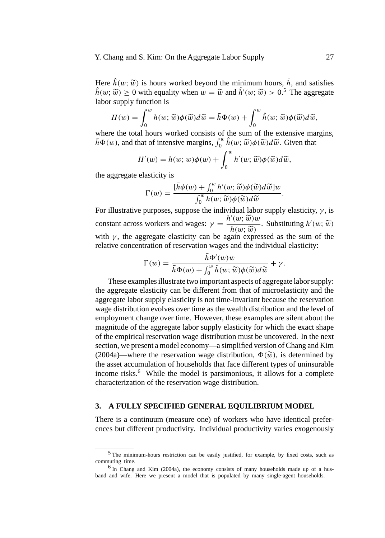## Y. Chang and S. Kim: On the Aggregate Labor Supply 27

Here  $\hat{h}(w; \tilde{w})$  is hours worked beyond the minimum hours,  $\bar{h}$ , and satisfies  $\hat{h}(w; \tilde{w}) \ge 0$  with equality when  $w = \tilde{w}$  and  $\hat{h}'(w; \tilde{w}) > 0.5$  The aggregate labor supply function is

$$
H(w) = \int_0^w h(w; \widetilde{w}) \phi(\widetilde{w}) d\widetilde{w} = \overline{h} \Phi(w) + \int_0^w \hat{h}(w; \widetilde{w}) \phi(\widetilde{w}) d\widetilde{w},
$$

where the total hours worked consists of the sum of the extensive margins, *h*(*w*), and that of intensive margins,  $\int_0^w \hat{h}(w; \tilde{w})\phi(\tilde{w})d\tilde{w}$ . Given that

$$
H'(w) = h(w; w)\phi(w) + \int_0^w h'(w; \widetilde{w})\phi(\widetilde{w})d\widetilde{w},
$$

the aggregate elasticity is

$$
\Gamma(w) = \frac{[\bar{h}\phi(w) + \int_0^w h'(w; \widetilde{w})\phi(\widetilde{w})d\widetilde{w}]}{\int_0^w h(w; \widetilde{w})\phi(\widetilde{w})d\widetilde{w}}.
$$
  
For illustrative purposes, suppose the individual labor supply elasticity,  $\gamma$ , is

constant across workers and wages:  $\gamma = \frac{h'(w; \tilde{w})w}{h(w; \tilde{w})}$ . Substituting  $h'(w; \tilde{w})$ <br>with  $\gamma$ , the aggregate elasticity can be again expressed as the sum of the with *γ* , the aggregate elasticity can be again expressed as the sum of the relative concentration of reservation wages and the individual elasticity:

$$
\Gamma(w) = \frac{\bar{h}\Phi'(w)w}{\bar{h}\Phi(w) + \int_0^w \hat{h}(w; \widetilde{w})\phi(\widetilde{w})d\widetilde{w}} + \gamma.
$$
  
These examples illustrate two important aspects of aggregate labor supply:

the aggregate elasticity can be different from that of microelasticity and the aggregate labor supply elasticity is not time-invariant because the reservation wage distribution evolves over time as the wealth distribution and the level of employment change over time. However, these examples are silent about the magnitude of the aggregate labor supply elasticity for which the exact shape of the empirical reservation wage distribution must be uncovered. In the next section, we present a model economy—a simplified version of Chang and Kim (2004a)—where the reservation wage distribution,  $\Phi(\tilde{w})$ , is determined by the asset accumulation of households that face different types of uninsurable income risks.<sup>6</sup> While the model is parsimonious, it allows for a complete characterization of the reservation wage distribution.

## **3. A FULLY SPECIFIED GENERAL EQUILIBRIUM MODEL**

There is a continuum (measure one) of workers who have identical preferences but different productivity. Individual productivity varies exogenously

<sup>5</sup> The minimum-hours restriction can be easily justified, for example, by fixed costs, such as commuting time.

<sup>6</sup> In Chang and Kim (2004a), the economy consists of many households made up of a husband and wife. Here we present a model that is populated by many single-agent households.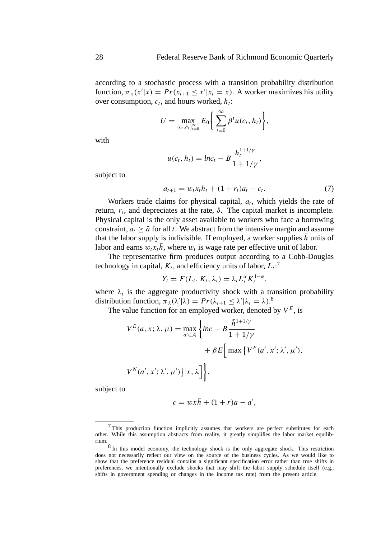according to a stochastic process with a transition probability distribution function,  $\pi_x(x'|x) = Pr(x_{t+1} \le x'|x_t = x)$ . A worker maximizes his utility over consumption,  $c_t$ , and hours worked,  $h_t$ :

$$
U = \max_{\{c_t, h_t\}_{t=0}^{\infty}} E_0 \bigg\{ \sum_{t=0}^{\infty} \beta^t u(c_t, h_t) \bigg\},\
$$

with

$$
u(c_t, h_t) = ln c_t - B \frac{h_t^{1+1/\gamma}}{1 + 1/\gamma},
$$

subject to

$$
a_{t+1} = w_t x_t h_t + (1 + r_t) a_t - c_t.
$$
 (7)

Workers trade claims for physical capital,  $a_t$ , which yields the rate of return,  $r_t$ , and depreciates at the rate,  $\delta$ . The capital market is incomplete. Physical capital is the only asset available to workers who face a borrowing constraint,  $a_t \geq \bar{a}$  for all *t*. We abstract from the intensive margin and assume that the labor supply is indivisible. If employed, a worker supplies  $\bar{h}$  units of labor and earns  $w_t x_t \bar{h}$ , where  $w_t$  is wage rate per effective unit of labor.

The representative firm produces output according to a Cobb-Douglas technology in capital,  $K_t$ , and efficiency units of labor,  $L_t$ :<sup>7</sup>

$$
Y_t = F(L_t, K_t, \lambda_t) = \lambda_t L_t^{\alpha} K_t^{1-\alpha},
$$

where  $\lambda_t$  is the aggregate productivity shock with a transition probability distribution function,  $\pi_{\lambda}(\lambda'|\lambda) = Pr(\lambda_{t+1} \leq \lambda'|\lambda_t = \lambda).$ <sup>8</sup>

The value function for an employed worker, denoted by  $V^E$ , is

$$
V^{E}(a, x; \lambda, \mu) = \max_{a' \in \mathcal{A}} \left\{ lnc - B \frac{\bar{h}^{1+1/\gamma}}{1 + 1/\gamma} + \beta E \Big[ \max \left\{ V^{E}(a', x'; \lambda', \mu') \right\},\right.\
$$

$$
V^{N}(a', x'; \lambda', \mu') \Big\} \Big| x, \lambda \Big] \Big\},
$$

subject to

$$
c = wx\bar{h} + (1+r)a - a',
$$

<sup>7</sup> This production function implicitly assumes that workers are perfect substitutes for each other. While this assumption abstracts from reality, it greatly simplifies the labor market equilibrium.

<sup>8</sup> In this model economy, the technology shock is the only aggregate shock. This restriction does not necessarily reflect our view on the source of the business cycles. As we would like to show that the preference residual contains a significant specification error rather than true shifts in preferences, we intentionally exclude shocks that may shift the labor supply schedule itself (e.g., shifts in government spending or changes in the income tax rate) from the present article.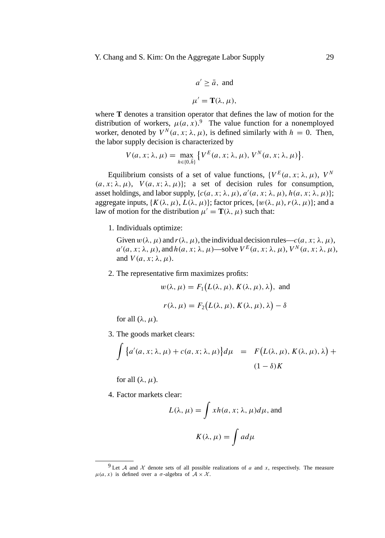Y. Chang and S. Kim: On the Aggregate Labor Supply 29

$$
a' \ge \bar{a}
$$
, and  
 $\mu' = \mathbf{T}(\lambda, \mu)$ ,

where **T** denotes a transition operator that defines the law of motion for the distribution of workers,  $\mu(a, x)$ .<sup>9</sup> The value function for a nonemployed worker, denoted by  $V^N(a, x; \lambda, \mu)$ , is defined similarly with  $h = 0$ . Then, the labor supply decision is characterized by

$$
V(a, x; \lambda, \mu) = \max_{h \in \{0, \bar{h}\}} \{ V^{E}(a, x; \lambda, \mu), V^{N}(a, x; \lambda, \mu) \}.
$$

Equilibrium consists of a set of value functions,  ${V^E(a, x; \lambda, \mu), V^N}$  $(a, x; \lambda, \mu)$ ,  $V(a, x; \lambda, \mu)$ ; a set of decision rules for consumption, asset holdings, and labor supply,  $\{c(a, x; \lambda, \mu), a'(a, x; \lambda, \mu), h(a, x; \lambda, \mu)\};$ aggregate inputs,  $\{K(\lambda, \mu), L(\lambda, \mu)\}$ ; factor prices,  $\{w(\lambda, \mu), r(\lambda, \mu)\}$ ; and a law of motion for the distribution  $\mu' = \mathbf{T}(\lambda, \mu)$  such that:

1. Individuals optimize:

Given  $w(\lambda, \mu)$  and  $r(\lambda, \mu)$ , the individual decision rules— $c(a, x; \lambda, \mu)$ ,  $a'(a, x; \lambda, \mu)$ , and  $h(a, x; \lambda, \mu)$ —solve  $V^E(a, x; \lambda, \mu)$ ,  $V^N(a, x; \lambda, \mu)$ , and  $V(a, x; \lambda, \mu)$ .

2. The representative firm maximizes profits:

$$
w(\lambda, \mu) = F_1(L(\lambda, \mu), K(\lambda, \mu), \lambda)
$$
, and

$$
r(\lambda, \mu) = F_2(L(\lambda, \mu), K(\lambda, \mu), \lambda) - \delta
$$

for all  $(\lambda, \mu)$ .

3. The goods market clears:

$$
\int \left\{ a'(a, x; \lambda, \mu) + c(a, x; \lambda, \mu) \right\} d\mu = F\big(L(\lambda, \mu), K(\lambda, \mu), \lambda \big) +
$$
  

$$
(1 - \delta)K
$$

for all  $(\lambda, \mu)$ .

4. Factor markets clear:

$$
L(\lambda, \mu) = \int xh(a, x; \lambda, \mu)d\mu
$$
, and  

$$
K(\lambda, \mu) = \int ad\mu
$$

<sup>&</sup>lt;sup>9</sup> Let A and X denote sets of all possible realizations of a and x, respectively. The measure  $\mu(a, x)$  is defined over a *σ*-algebra of  $A \times \mathcal{X}$ .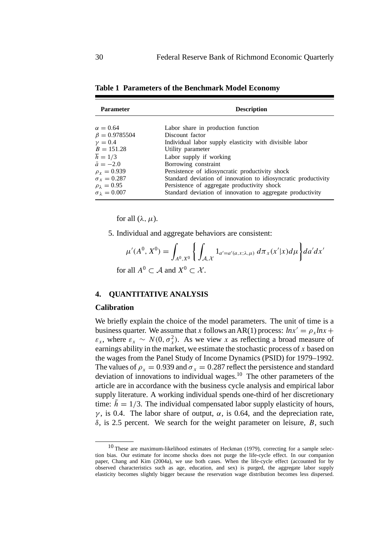| <b>Parameter</b>           | <b>Description</b>                                             |  |  |  |
|----------------------------|----------------------------------------------------------------|--|--|--|
| $\alpha = 0.64$            | Labor share in production function                             |  |  |  |
| $\beta = 0.9785504$        | Discount factor                                                |  |  |  |
| $\nu = 0.4$                | Individual labor supply elasticity with divisible labor        |  |  |  |
| $B = 151.28$               | Utility parameter                                              |  |  |  |
| $\overline{h} = 1/3$       | Labor supply if working                                        |  |  |  |
| $\bar{a} = -2.0$           | Borrowing constraint                                           |  |  |  |
| $\rho_r = 0.939$           | Persistence of idiosyncratic productivity shock                |  |  |  |
| $\sigma_{x} = 0.287$       | Standard deviation of innovation to idiosyncratic productivity |  |  |  |
| $\rho_{\lambda}=0.95$      | Persistence of aggregate productivity shock                    |  |  |  |
| $\sigma_{\lambda} = 0.007$ | Standard deviation of innovation to aggregate productivity     |  |  |  |

**Table 1 Parameters of the Benchmark Model Economy**

for all  $(\lambda, \mu)$ .

5. Individual and aggregate behaviors are consistent:

$$
\mu'(A^0, X^0) = \int_{A^0, X^0} \left\{ \int_{\mathcal{A}, \mathcal{X}} 1_{a' = a'(a, x; \lambda, \mu)} d\pi_x(x'|x) d\mu \right\} da'dx'
$$
  
for all  $A^0 \subset \mathcal{A}$  and  $X^0 \subset \mathcal{X}$ .

**4. QUANTITATIVE ANALYSIS**

#### **Calibration**

We briefly explain the choice of the model parameters. The unit of time is a business quarter. We assume that *x* follows an AR(1) process:  $ln x' = \rho_x ln x +$  $\varepsilon_x$ , where  $\varepsilon_x \sim N(0, \sigma_x^2)$ . As we view *x* as reflecting a broad measure of earnings ability in the market, we estimate the stochastic process of *x* based on the wages from the Panel Study of Income Dynamics (PSID) for 1979–1992. The values of  $\rho_x = 0.939$  and  $\sigma_x = 0.287$  reflect the persistence and standard deviation of innovations to individual wages.<sup>10</sup> The other parameters of the article are in accordance with the business cycle analysis and empirical labor supply literature. A working individual spends one-third of her discretionary time:  $\bar{h} = 1/3$ . The individual compensated labor supply elasticity of hours, *γ*, is 0.4. The labor share of output,  $\alpha$ , is 0.64, and the depreciation rate, *δ*, is 2.5 percent. We search for the weight parameter on leisure, *B*, such

 $10$  These are maximum-likelihood estimates of Heckman (1979), correcting for a sample selection bias. Our estimate for income shocks does not purge the life-cycle effect. In our companion paper, Chang and Kim (2004a), we use both cases. When the life-cycle effect (accounted for by observed characteristics such as age, education, and sex) is purged, the aggregate labor supply elasticity becomes slightly bigger because the reservation wage distribution becomes less dispersed.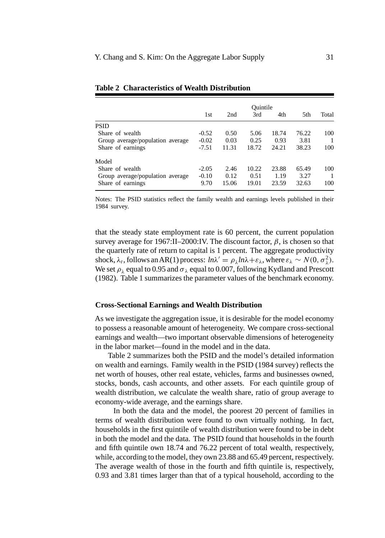|                                  | Ouintile |       |       |       |       |       |
|----------------------------------|----------|-------|-------|-------|-------|-------|
|                                  | 1st      | 2nd   | 3rd   | 4th   | 5th   | Total |
| <b>PSID</b>                      |          |       |       |       |       |       |
| Share of wealth                  | $-0.52$  | 0.50  | 5.06  | 18.74 | 76.22 | 100   |
| Group average/population average | $-0.02$  | 0.03  | 0.25  | 0.93  | 3.81  |       |
| Share of earnings                | $-7.51$  | 11.31 | 18.72 | 24.21 | 38.23 | 100   |
| Model                            |          |       |       |       |       |       |
| Share of wealth                  | $-2.05$  | 2.46  | 10.22 | 23.88 | 65.49 | 100   |
| Group average/population average | $-0.10$  | 0.12  | 0.51  | 1.19  | 3.27  |       |
| Share of earnings                | 9.70     | 15.06 | 19.01 | 23.59 | 32.63 | 100   |

#### **Table 2 Characteristics of Wealth Distribution**

Notes: The PSID statistics reflect the family wealth and earnings levels published in their 1984 survey.

that the steady state employment rate is 60 percent, the current population survey average for 1967:II–2000:IV. The discount factor,  $\beta$ , is chosen so that the quarterly rate of return to capital is 1 percent. The aggregate productivity shock,  $\lambda_t$ , follows an AR(1) process:  $ln \lambda' = \rho_{\lambda} ln \lambda + \varepsilon_{\lambda}$ , where  $\varepsilon_{\lambda} \sim N(0, \sigma_{\lambda}^2)$ . We set  $\rho_{\lambda}$  equal to 0.95 and  $\sigma_{\lambda}$  equal to 0.007, following Kydland and Prescott (1982). Table 1 summarizes the parameter values of the benchmark economy.

#### **Cross-Sectional Earnings and Wealth Distribution**

As we investigate the aggregation issue, it is desirable for the model economy to possess a reasonable amount of heterogeneity. We compare cross-sectional earnings and wealth—two important observable dimensions of heterogeneity in the labor market—found in the model and in the data.

Table 2 summarizes both the PSID and the model's detailed information on wealth and earnings. Family wealth in the PSID (1984 survey) reflects the net worth of houses, other real estate, vehicles, farms and businesses owned, stocks, bonds, cash accounts, and other assets. For each quintile group of wealth distribution, we calculate the wealth share, ratio of group average to economy-wide average, and the earnings share.

In both the data and the model, the poorest 20 percent of families in terms of wealth distribution were found to own virtually nothing. In fact, households in the first quintile of wealth distribution were found to be in debt in both the model and the data. The PSID found that households in the fourth and fifth quintile own 18.74 and 76.22 percent of total wealth, respectively, while, according to the model, they own 23.88 and 65.49 percent, respectively. The average wealth of those in the fourth and fifth quintile is, respectively, 0.93 and 3.81 times larger than that of a typical household, according to the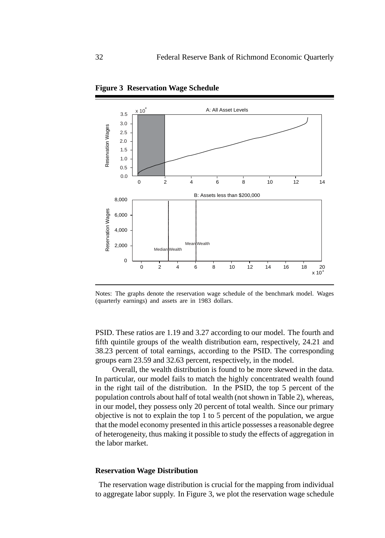

**Figure 3 Reservation Wage Schedule**

Notes: The graphs denote the reservation wage schedule of the benchmark model. Wages (quarterly earnings) and assets are in 1983 dollars.

PSID. These ratios are 1.19 and 3.27 according to our model. The fourth and fifth quintile groups of the wealth distribution earn, respectively, 24.21 and 38.23 percent of total earnings, according to the PSID. The corresponding groups earn 23.59 and 32.63 percent, respectively, in the model.

Overall, the wealth distribution is found to be more skewed in the data. In particular, our model fails to match the highly concentrated wealth found in the right tail of the distribution. In the PSID, the top 5 percent of the population controls about half of total wealth (not shown in Table 2), whereas, in our model, they possess only 20 percent of total wealth. Since our primary objective is not to explain the top 1 to 5 percent of the population, we argue that the model economy presented in this article possesses a reasonable degree of heterogeneity, thus making it possible to study the effects of aggregation in the labor market.

## **Reservation Wage Distribution**

The reservation wage distribution is crucial for the mapping from individual to aggregate labor supply. In Figure 3, we plot the reservation wage schedule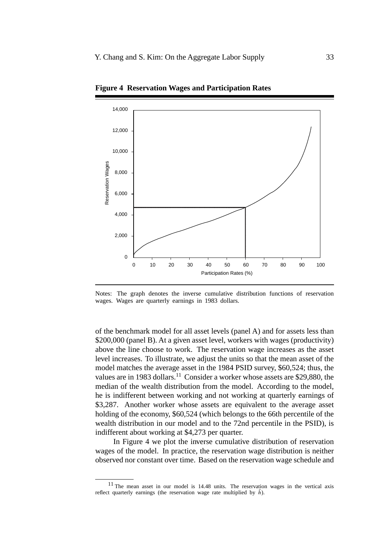

**Figure 4 Reservation Wages and Participation Rates**

Notes: The graph denotes the inverse cumulative distribution functions of reservation wages. Wages are quarterly earnings in 1983 dollars.

of the benchmark model for all asset levels (panel A) and for assets less than \$200,000 (panel B). At a given asset level, workers with wages (productivity) above the line choose to work. The reservation wage increases as the asset level increases. To illustrate, we adjust the units so that the mean asset of the model matches the average asset in the 1984 PSID survey, \$60,524; thus, the values are in 1983 dollars.<sup>11</sup> Consider a worker whose assets are \$29,880, the median of the wealth distribution from the model. According to the model, he is indifferent between working and not working at quarterly earnings of \$3,287. Another worker whose assets are equivalent to the average asset holding of the economy, \$60,524 (which belongs to the 66th percentile of the wealth distribution in our model and to the 72nd percentile in the PSID), is indifferent about working at \$4,273 per quarter.

In Figure 4 we plot the inverse cumulative distribution of reservation wages of the model. In practice, the reservation wage distribution is neither observed nor constant over time. Based on the reservation wage schedule and

<sup>11</sup> The mean asset in our model is 14.48 units. The reservation wages in the vertical axis reflect quarterly earnings (the reservation wage rate multiplied by  $\bar{h}$ ).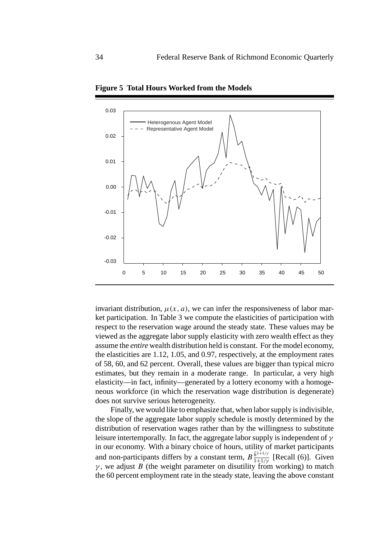

**Figure 5 Total Hours Worked from the Models**

invariant distribution,  $\mu(x, a)$ , we can infer the responsiveness of labor market participation. In Table 3 we compute the elasticities of participation with respect to the reservation wage around the steady state. These values may be viewed as the aggregate labor supply elasticity with zero wealth effect as they assume the *entire* wealth distribution held is constant. For the model economy, the elasticities are 1.12, 1.05, and 0.97, respectively, at the employment rates of 58, 60, and 62 percent. Overall, these values are bigger than typical micro estimates, but they remain in a moderate range. In particular, a very high elasticity—in fact, infinity—generated by a lottery economy with a homogeneous workforce (in which the reservation wage distribution is degenerate) does not survive serious heterogeneity.

Finally, we would like to emphasize that, when labor supply is indivisible, the slope of the aggregate labor supply schedule is mostly determined by the distribution of reservation wages rather than by the willingness to substitute leisure intertemporally. In fact, the aggregate labor supply is independent of *γ* in our economy. With a binary choice of hours, utility of market participants and non-participants differs by a constant term,  $B_{\frac{\bar{h}^{1+1}}{1+1/\gamma}}^{\frac{\bar{h}^{1+1}}{1+1/\gamma}}$  [Recall (6)]. Given  $\gamma$ , we adjust *B* (the weight parameter on disutility from working) to match the 60 percent employment rate in the steady state, leaving the above constant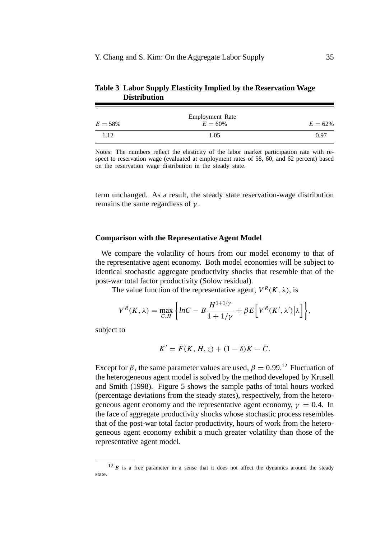| $E = 58\%$ | <b>Employment Rate</b><br>$E = 60\%$ | $E = 62\%$ |
|------------|--------------------------------------|------------|
| 1.12       | 1.05                                 | 0.97       |

**Table 3 Labor Supply Elasticity Implied by the Reservation Wage Distribution**

Notes: The numbers reflect the elasticity of the labor market participation rate with respect to reservation wage (evaluated at employment rates of 58, 60, and 62 percent) based on the reservation wage distribution in the steady state.

term unchanged. As a result, the steady state reservation-wage distribution remains the same regardless of *γ* .

## **Comparison with the Representative Agent Model**

We compare the volatility of hours from our model economy to that of the representative agent economy. Both model economies will be subject to identical stochastic aggregate productivity shocks that resemble that of the post-war total factor productivity (Solow residual).

The value function of the representative agent,  $V^R(K, \lambda)$ , is

$$
V^{R}(K,\lambda) = \max_{C,H} \left\{ lnC - B \frac{H^{1+1/\gamma}}{1+1/\gamma} + \beta E \left[ V^{R}(K',\lambda') \Big| \lambda \right] \right\},\,
$$

subject to

$$
K' = F(K, H, z) + (1 - \delta)K - C.
$$

Except for  $\beta$ , the same parameter values are used,  $\beta = 0.99$ <sup>12</sup> Fluctuation of the heterogeneous agent model is solved by the method developed by Krusell and Smith (1998). Figure 5 shows the sample paths of total hours worked (percentage deviations from the steady states), respectively, from the heterogeneous agent economy and the representative agent economy,  $\gamma = 0.4$ . In the face of aggregate productivity shocks whose stochastic process resembles that of the post-war total factor productivity, hours of work from the heterogeneous agent economy exhibit a much greater volatility than those of the representative agent model.

 $12 B$  is a free parameter in a sense that it does not affect the dynamics around the steady state.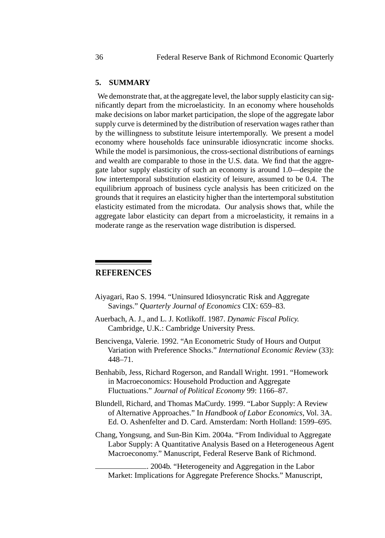## **5. SUMMARY**

We demonstrate that, at the aggregate level, the labor supply elasticity can significantly depart from the microelasticity. In an economy where households make decisions on labor market participation, the slope of the aggregate labor supply curve is determined by the distribution of reservation wages rather than by the willingness to substitute leisure intertemporally. We present a model economy where households face uninsurable idiosyncratic income shocks. While the model is parsimonious, the cross-sectional distributions of earnings and wealth are comparable to those in the U.S. data. We find that the aggregate labor supply elasticity of such an economy is around 1.0—despite the low intertemporal substitution elasticity of leisure, assumed to be 0.4. The equilibrium approach of business cycle analysis has been criticized on the grounds that it requires an elasticity higher than the intertemporal substitution elasticity estimated from the microdata. Our analysis shows that, while the aggregate labor elasticity can depart from a microelasticity, it remains in a moderate range as the reservation wage distribution is dispersed.

## **REFERENCES**

- Aiyagari, Rao S. 1994. "Uninsured Idiosyncratic Risk and Aggregate Savings." *Quarterly Journal of Economics* CIX: 659–83.
- Auerbach, A. J., and L. J. Kotlikoff. 1987. *Dynamic Fiscal Policy.* Cambridge, U.K.: Cambridge University Press.
- Bencivenga, Valerie. 1992. "An Econometric Study of Hours and Output Variation with Preference Shocks." *International Economic Review* (33): 448–71.
- Benhabib, Jess, Richard Rogerson, and Randall Wright. 1991. "Homework in Macroeconomics: Household Production and Aggregate Fluctuations." *Journal of Political Economy* 99: 1166–87.
- Blundell, Richard, and Thomas MaCurdy. 1999. "Labor Supply: A Review of Alternative Approaches." In *Handbook of Labor Economics*, Vol. 3A. Ed. O. Ashenfelter and D. Card. Amsterdam: North Holland: 1599–695.
- Chang, Yongsung, and Sun-Bin Kim. 2004a. "From Individual to Aggregate Labor Supply: A Quantitative Analysis Based on a Heterogeneous Agent Macroeconomy." Manuscript, Federal Reserve Bank of Richmond.

. 2004b. "Heterogeneity and Aggregation in the Labor Market: Implications for Aggregate Preference Shocks." Manuscript,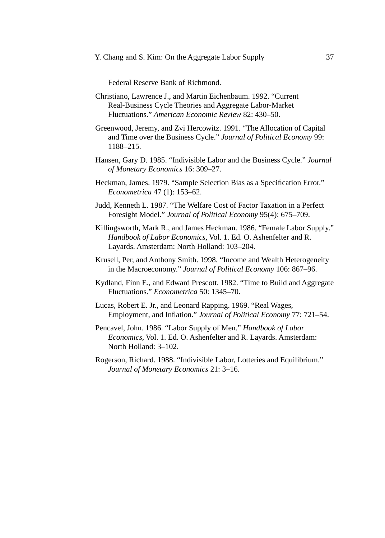Federal Reserve Bank of Richmond.

- Christiano, Lawrence J., and Martin Eichenbaum. 1992. "Current Real-Business Cycle Theories and Aggregate Labor-Market Fluctuations." *American Economic Review* 82: 430–50.
- Greenwood, Jeremy, and Zvi Hercowitz. 1991. "The Allocation of Capital and Time over the Business Cycle." *Journal of Political Economy* 99: 1188–215.
- Hansen, Gary D. 1985. "Indivisible Labor and the Business Cycle." *Journal of Monetary Economics* 16: 309–27.
- Heckman, James. 1979. "Sample Selection Bias as a Specification Error." *Econometrica* 47 (1): 153–62.
- Judd, Kenneth L. 1987. "The Welfare Cost of Factor Taxation in a Perfect Foresight Model." *Journal of Political Economy* 95(4): 675–709.
- Killingsworth, Mark R., and James Heckman. 1986. "Female Labor Supply." *Handbook of Labor Economics,* Vol. 1. Ed. O. Ashenfelter and R. Layards. Amsterdam: North Holland: 103–204.
- Krusell, Per, and Anthony Smith. 1998. "Income and Wealth Heterogeneity in the Macroeconomy." *Journal of Political Economy* 106: 867–96.
- Kydland, Finn E., and Edward Prescott. 1982. "Time to Build and Aggregate Fluctuations." *Econometrica* 50: 1345–70.
- Lucas, Robert E. Jr., and Leonard Rapping. 1969. "Real Wages, Employment, and Inflation." *Journal of Political Economy* 77: 721–54.
- Pencavel, John. 1986. "Labor Supply of Men." *Handbook of Labor Economics,* Vol. 1. Ed. O. Ashenfelter and R. Layards. Amsterdam: North Holland: 3–102.
- Rogerson, Richard. 1988. "Indivisible Labor, Lotteries and Equilibrium." *Journal of Monetary Economics* 21: 3–16.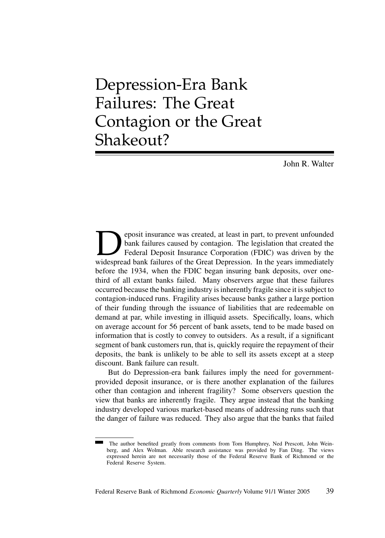Depression-Era Bank Failures: The Great Contagion or the Great Shakeout?

John R. Walter

**Deposit insurance was created, at least in part, to prevent unfounded** bank failures caused by contagion. The legislation that created the Federal Deposit Insurance Corporation (FDIC) was driven by the widespread bank fai bank failures caused by contagion. The legislation that created the Federal Deposit Insurance Corporation (FDIC) was driven by the widespread bank failures of the Great Depression. In the years immediately before the 1934, when the FDIC began insuring bank deposits, over onethird of all extant banks failed. Many observers argue that these failures occurred because the banking industry is inherently fragile since it is subject to contagion-induced runs. Fragility arises because banks gather a large portion of their funding through the issuance of liabilities that are redeemable on demand at par, while investing in illiquid assets. Specifically, loans, which on average account for 56 percent of bank assets, tend to be made based on information that is costly to convey to outsiders. As a result, if a significant segment of bank customers run, that is, quickly require the repayment of their deposits, the bank is unlikely to be able to sell its assets except at a steep discount. Bank failure can result.

But do Depression-era bank failures imply the need for governmentprovided deposit insurance, or is there another explanation of the failures other than contagion and inherent fragility? Some observers question the view that banks are inherently fragile. They argue instead that the banking industry developed various market-based means of addressing runs such that the danger of failure was reduced. They also argue that the banks that failed

The author benefited greatly from comments from Tom Humphrey, Ned Prescott, John Weinberg, and Alex Wolman. Able research assistance was provided by Fan Ding. The views expressed herein are not necessarily those of the Federal Reserve Bank of Richmond or the Federal Reserve System.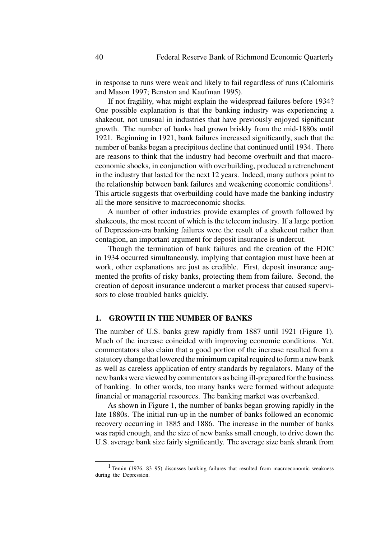in response to runs were weak and likely to fail regardless of runs (Calomiris and Mason 1997; Benston and Kaufman 1995).

If not fragility, what might explain the widespread failures before 1934? One possible explanation is that the banking industry was experiencing a shakeout, not unusual in industries that have previously enjoyed significant growth. The number of banks had grown briskly from the mid-1880s until 1921. Beginning in 1921, bank failures increased significantly, such that the number of banks began a precipitous decline that continued until 1934. There are reasons to think that the industry had become overbuilt and that macroeconomic shocks, in conjunction with overbuilding, produced a retrenchment in the industry that lasted for the next 12 years. Indeed, many authors point to the relationship between bank failures and weakening economic conditions<sup>1</sup>. This article suggests that overbuilding could have made the banking industry all the more sensitive to macroeconomic shocks.

A number of other industries provide examples of growth followed by shakeouts, the most recent of which is the telecom industry. If a large portion of Depression-era banking failures were the result of a shakeout rather than contagion, an important argument for deposit insurance is undercut.

Though the termination of bank failures and the creation of the FDIC in 1934 occurred simultaneously, implying that contagion must have been at work, other explanations are just as credible. First, deposit insurance augmented the profits of risky banks, protecting them from failure. Second, the creation of deposit insurance undercut a market process that caused supervisors to close troubled banks quickly.

## **1. GROWTH IN THE NUMBER OF BANKS**

The number of U.S. banks grew rapidly from 1887 until 1921 (Figure 1). Much of the increase coincided with improving economic conditions. Yet, commentators also claim that a good portion of the increase resulted from a statutory change that lowered the minimum capital required to form a new bank as well as careless application of entry standards by regulators. Many of the new banks were viewed by commentators as being ill-prepared for the business of banking. In other words, too many banks were formed without adequate financial or managerial resources. The banking market was overbanked.

As shown in Figure 1, the number of banks began growing rapidly in the late 1880s. The initial run-up in the number of banks followed an economic recovery occurring in 1885 and 1886. The increase in the number of banks was rapid enough, and the size of new banks small enough, to drive down the U.S. average bank size fairly significantly. The average size bank shrank from

<sup>&</sup>lt;sup>1</sup> Temin (1976, 83–95) discusses banking failures that resulted from macroeconomic weakness during the Depression.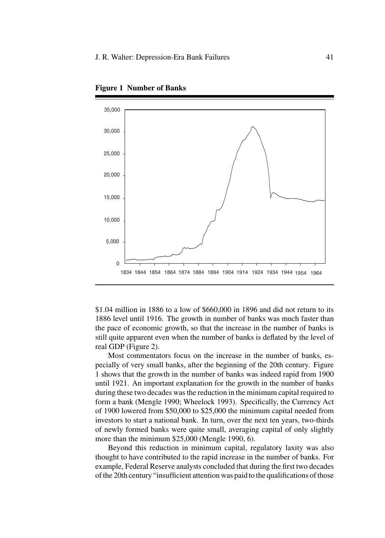

**Figure 1 Number of Banks**

\$1.04 million in 1886 to a low of \$660,000 in 1896 and did not return to its 1886 level until 1916. The growth in number of banks was much faster than the pace of economic growth, so that the increase in the number of banks is still quite apparent even when the number of banks is deflated by the level of real GDP (Figure 2).

Most commentators focus on the increase in the number of banks, especially of very small banks, after the beginning of the 20th century. Figure 1 shows that the growth in the number of banks was indeed rapid from 1900 until 1921. An important explanation for the growth in the number of banks during these two decades was the reduction in the minimum capital required to form a bank (Mengle 1990; Wheelock 1993). Specifically, the Currency Act of 1900 lowered from \$50,000 to \$25,000 the minimum capital needed from investors to start a national bank. In turn, over the next ten years, two-thirds of newly formed banks were quite small, averaging capital of only slightly more than the minimum \$25,000 (Mengle 1990, 6).

Beyond this reduction in minimum capital, regulatory laxity was also thought to have contributed to the rapid increase in the number of banks. For example, Federal Reserve analysts concluded that during the first two decades of the 20th century "insufficient attention was paid to the qualifications of those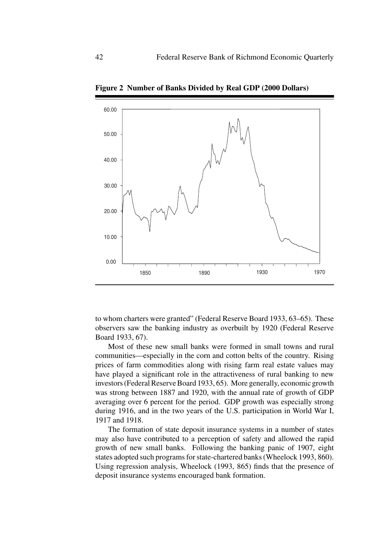

**Figure 2 Number of Banks Divided by Real GDP (2000 Dollars)**

to whom charters were granted" (Federal Reserve Board 1933, 63–65). These observers saw the banking industry as overbuilt by 1920 (Federal Reserve Board 1933, 67).

Most of these new small banks were formed in small towns and rural communities—especially in the corn and cotton belts of the country. Rising prices of farm commodities along with rising farm real estate values may have played a significant role in the attractiveness of rural banking to new investors (Federal Reserve Board 1933, 65). More generally, economic growth was strong between 1887 and 1920, with the annual rate of growth of GDP averaging over 6 percent for the period. GDP growth was especially strong during 1916, and in the two years of the U.S. participation in World War I, 1917 and 1918.

The formation of state deposit insurance systems in a number of states may also have contributed to a perception of safety and allowed the rapid growth of new small banks. Following the banking panic of 1907, eight states adopted such programs for state-chartered banks (Wheelock 1993, 860). Using regression analysis, Wheelock (1993, 865) finds that the presence of deposit insurance systems encouraged bank formation.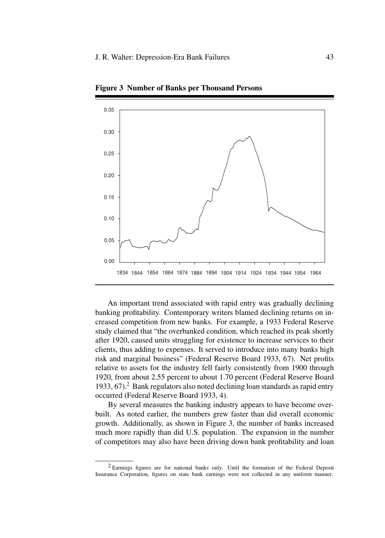

**Figure 3 Number of Banks per Thousand Persons**

An important trend associated with rapid entry was gradually declining banking profitability. Contemporary writers blamed declining returns on increased competition from new banks. For example, a 1933 Federal Reserve study claimed that "the overbanked condition, which reached its peak shortly after 1920, caused units struggling for existence to increase services to their clients, thus adding to expenses. It served to introduce into many banks high risk and marginal business" (Federal Reserve Board 1933, 67). Net profits relative to assets for the industry fell fairly consistently from 1900 through 1920, from about 2.55 percent to about 1.70 percent (Federal Reserve Board 1933, 67).<sup>2</sup> Bank regulators also noted declining loan standards as rapid entry occurred (Federal Reserve Board 1933, 4).

By several measures the banking industry appears to have become overbuilt. As noted earlier, the numbers grew faster than did overall economic growth. Additionally, as shown in Figure 3, the number of banks increased much more rapidly than did U.S. population. The expansion in the number of competitors may also have been driving down bank profitability and loan

<sup>2</sup> Earnings figures are for national banks only. Until the formation of the Federal Deposit Insurance Corporation, figures on state bank earnings were not collected in any uniform manner.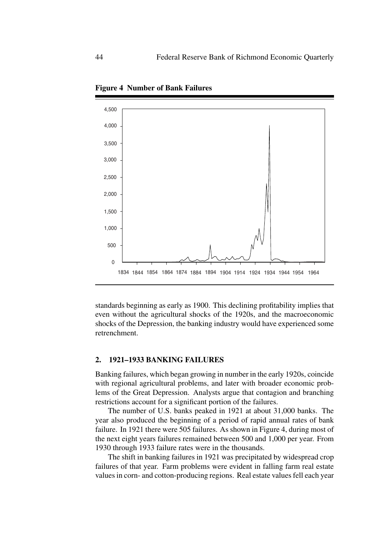

**Figure 4 Number of Bank Failures**

standards beginning as early as 1900. This declining profitability implies that even without the agricultural shocks of the 1920s, and the macroeconomic shocks of the Depression, the banking industry would have experienced some retrenchment.

### **2. 1921–1933 BANKING FAILURES**

Banking failures, which began growing in number in the early 1920s, coincide with regional agricultural problems, and later with broader economic problems of the Great Depression. Analysts argue that contagion and branching restrictions account for a significant portion of the failures.

The number of U.S. banks peaked in 1921 at about 31,000 banks. The year also produced the beginning of a period of rapid annual rates of bank failure. In 1921 there were 505 failures. As shown in Figure 4, during most of the next eight years failures remained between 500 and 1,000 per year. From 1930 through 1933 failure rates were in the thousands.

The shift in banking failures in 1921 was precipitated by widespread crop failures of that year. Farm problems were evident in falling farm real estate values in corn- and cotton-producing regions. Real estate values fell each year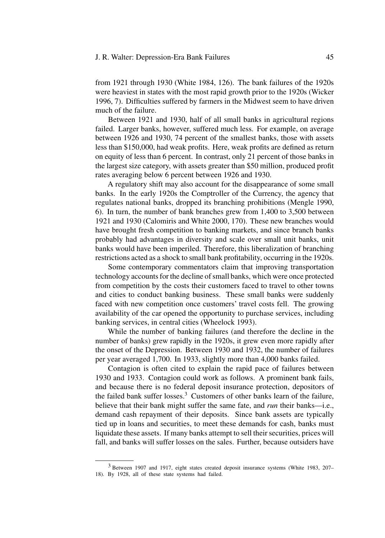#### J. R. Walter: Depression-Era Bank Failures 45

from 1921 through 1930 (White 1984, 126). The bank failures of the 1920s were heaviest in states with the most rapid growth prior to the 1920s (Wicker 1996, 7). Difficulties suffered by farmers in the Midwest seem to have driven much of the failure.

Between 1921 and 1930, half of all small banks in agricultural regions failed. Larger banks, however, suffered much less. For example, on average between 1926 and 1930, 74 percent of the smallest banks, those with assets less than \$150,000, had weak profits. Here, weak profits are defined as return on equity of less than 6 percent. In contrast, only 21 percent of those banks in the largest size category, with assets greater than \$50 million, produced profit rates averaging below 6 percent between 1926 and 1930.

A regulatory shift may also account for the disappearance of some small banks. In the early 1920s the Comptroller of the Currency, the agency that regulates national banks, dropped its branching prohibitions (Mengle 1990, 6). In turn, the number of bank branches grew from 1,400 to 3,500 between 1921 and 1930 (Calomiris and White 2000, 170). These new branches would have brought fresh competition to banking markets, and since branch banks probably had advantages in diversity and scale over small unit banks, unit banks would have been imperiled. Therefore, this liberalization of branching restrictions acted as a shock to small bank profitability, occurring in the 1920s.

Some contemporary commentators claim that improving transportation technology accounts for the decline of small banks, which were once protected from competition by the costs their customers faced to travel to other towns and cities to conduct banking business. These small banks were suddenly faced with new competition once customers' travel costs fell. The growing availability of the car opened the opportunity to purchase services, including banking services, in central cities (Wheelock 1993).

While the number of banking failures (and therefore the decline in the number of banks) grew rapidly in the 1920s, it grew even more rapidly after the onset of the Depression. Between 1930 and 1932, the number of failures per year averaged 1,700. In 1933, slightly more than 4,000 banks failed.

Contagion is often cited to explain the rapid pace of failures between 1930 and 1933. Contagion could work as follows. A prominent bank fails, and because there is no federal deposit insurance protection, depositors of the failed bank suffer losses. $3$  Customers of other banks learn of the failure, believe that their bank might suffer the same fate, and *run* their banks—i.e., demand cash repayment of their deposits. Since bank assets are typically tied up in loans and securities, to meet these demands for cash, banks must liquidate these assets. If many banks attempt to sell their securities, prices will fall, and banks will suffer losses on the sales. Further, because outsiders have

<sup>3</sup> Between 1907 and 1917, eight states created deposit insurance systems (White 1983, 207– 18). By 1928, all of these state systems had failed.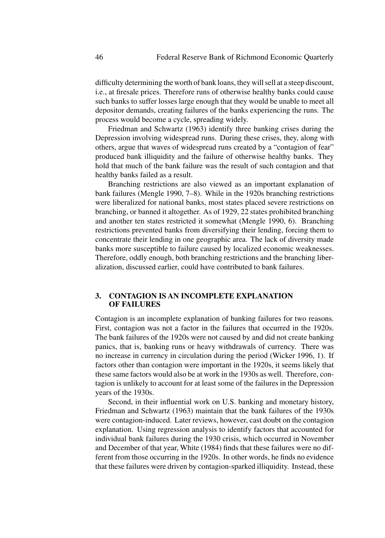difficulty determining the worth of bank loans, they will sell at a steep discount, i.e., at firesale prices. Therefore runs of otherwise healthy banks could cause such banks to suffer losses large enough that they would be unable to meet all depositor demands, creating failures of the banks experiencing the runs. The process would become a cycle, spreading widely.

Friedman and Schwartz (1963) identify three banking crises during the Depression involving widespread runs. During these crises, they, along with others, argue that waves of widespread runs created by a "contagion of fear" produced bank illiquidity and the failure of otherwise healthy banks. They hold that much of the bank failure was the result of such contagion and that healthy banks failed as a result.

Branching restrictions are also viewed as an important explanation of bank failures (Mengle 1990, 7–8). While in the 1920s branching restrictions were liberalized for national banks, most states placed severe restrictions on branching, or banned it altogether. As of 1929, 22 states prohibited branching and another ten states restricted it somewhat (Mengle 1990, 6). Branching restrictions prevented banks from diversifying their lending, forcing them to concentrate their lending in one geographic area. The lack of diversity made banks more susceptible to failure caused by localized economic weaknesses. Therefore, oddly enough, both branching restrictions and the branching liberalization, discussed earlier, could have contributed to bank failures.

# **3. CONTAGION IS AN INCOMPLETE EXPLANATION OF FAILURES**

Contagion is an incomplete explanation of banking failures for two reasons. First, contagion was not a factor in the failures that occurred in the 1920s. The bank failures of the 1920s were not caused by and did not create banking panics, that is, banking runs or heavy withdrawals of currency. There was no increase in currency in circulation during the period (Wicker 1996, 1). If factors other than contagion were important in the 1920s, it seems likely that these same factors would also be at work in the 1930s as well. Therefore, contagion is unlikely to account for at least some of the failures in the Depression years of the 1930s.

Second, in their influential work on U.S. banking and monetary history, Friedman and Schwartz (1963) maintain that the bank failures of the 1930s were contagion-induced. Later reviews, however, cast doubt on the contagion explanation. Using regression analysis to identify factors that accounted for individual bank failures during the 1930 crisis, which occurred in November and December of that year, White (1984) finds that these failures were no different from those occurring in the 1920s. In other words, he finds no evidence that these failures were driven by contagion-sparked illiquidity. Instead, these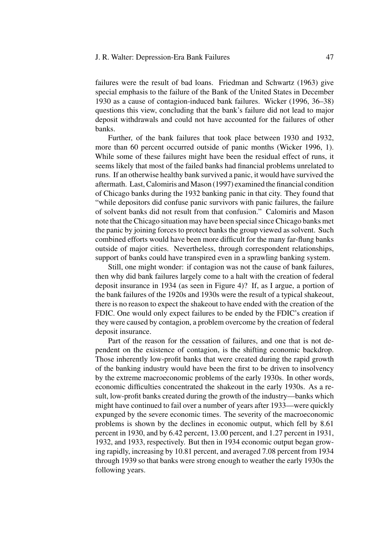#### J. R. Walter: Depression-Era Bank Failures 47

failures were the result of bad loans. Friedman and Schwartz (1963) give special emphasis to the failure of the Bank of the United States in December 1930 as a cause of contagion-induced bank failures. Wicker (1996, 36–38) questions this view, concluding that the bank's failure did not lead to major deposit withdrawals and could not have accounted for the failures of other banks.

Further, of the bank failures that took place between 1930 and 1932, more than 60 percent occurred outside of panic months (Wicker 1996, 1). While some of these failures might have been the residual effect of runs, it seems likely that most of the failed banks had financial problems unrelated to runs. If an otherwise healthy bank survived a panic, it would have survived the aftermath. Last, Calomiris and Mason (1997) examined the financial condition of Chicago banks during the 1932 banking panic in that city. They found that "while depositors did confuse panic survivors with panic failures, the failure of solvent banks did not result from that confusion." Calomiris and Mason note that the Chicago situation may have been special since Chicago banks met the panic by joining forces to protect banks the group viewed as solvent. Such combined efforts would have been more difficult for the many far-flung banks outside of major cities. Nevertheless, through correspondent relationships, support of banks could have transpired even in a sprawling banking system.

Still, one might wonder: if contagion was not the cause of bank failures, then why did bank failures largely come to a halt with the creation of federal deposit insurance in 1934 (as seen in Figure 4)? If, as I argue, a portion of the bank failures of the 1920s and 1930s were the result of a typical shakeout, there is no reason to expect the shakeout to have ended with the creation of the FDIC. One would only expect failures to be ended by the FDIC's creation if they were caused by contagion, a problem overcome by the creation of federal deposit insurance.

Part of the reason for the cessation of failures, and one that is not dependent on the existence of contagion, is the shifting economic backdrop. Those inherently low-profit banks that were created during the rapid growth of the banking industry would have been the first to be driven to insolvency by the extreme macroeconomic problems of the early 1930s. In other words, economic difficulties concentrated the shakeout in the early 1930s. As a result, low-profit banks created during the growth of the industry—banks which might have continued to fail over a number of years after 1933—were quickly expunged by the severe economic times. The severity of the macroeconomic problems is shown by the declines in economic output, which fell by 8.61 percent in 1930, and by 6.42 percent, 13.00 percent, and 1.27 percent in 1931, 1932, and 1933, respectively. But then in 1934 economic output began growing rapidly, increasing by 10.81 percent, and averaged 7.08 percent from 1934 through 1939 so that banks were strong enough to weather the early 1930s the following years.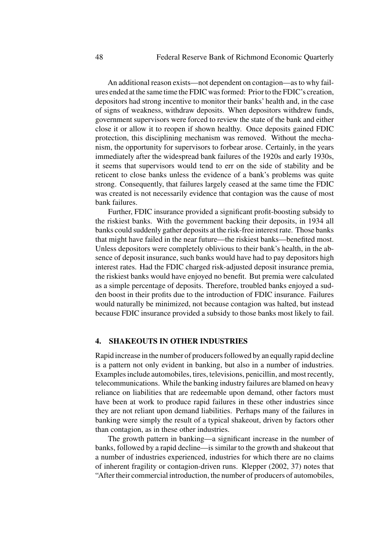An additional reason exists—not dependent on contagion—as to why failures ended at the same time the FDIC was formed: Prior to the FDIC's creation, depositors had strong incentive to monitor their banks' health and, in the case of signs of weakness, withdraw deposits. When depositors withdrew funds, government supervisors were forced to review the state of the bank and either close it or allow it to reopen if shown healthy. Once deposits gained FDIC protection, this disciplining mechanism was removed. Without the mechanism, the opportunity for supervisors to forbear arose. Certainly, in the years immediately after the widespread bank failures of the 1920s and early 1930s, it seems that supervisors would tend to err on the side of stability and be reticent to close banks unless the evidence of a bank's problems was quite strong. Consequently, that failures largely ceased at the same time the FDIC was created is not necessarily evidence that contagion was the cause of most bank failures.

Further, FDIC insurance provided a significant profit-boosting subsidy to the riskiest banks. With the government backing their deposits, in 1934 all banks could suddenly gather deposits at the risk-free interest rate. Those banks that might have failed in the near future—the riskiest banks—benefited most. Unless depositors were completely oblivious to their bank's health, in the absence of deposit insurance, such banks would have had to pay depositors high interest rates. Had the FDIC charged risk-adjusted deposit insurance premia, the riskiest banks would have enjoyed no benefit. But premia were calculated as a simple percentage of deposits. Therefore, troubled banks enjoyed a sudden boost in their profits due to the introduction of FDIC insurance. Failures would naturally be minimized, not because contagion was halted, but instead because FDIC insurance provided a subsidy to those banks most likely to fail.

#### **4. SHAKEOUTS IN OTHER INDUSTRIES**

Rapid increase in the number of producers followed by an equally rapid decline is a pattern not only evident in banking, but also in a number of industries. Examples include automobiles, tires, televisions, penicillin, and most recently, telecommunications. While the banking industry failures are blamed on heavy reliance on liabilities that are redeemable upon demand, other factors must have been at work to produce rapid failures in these other industries since they are not reliant upon demand liabilities. Perhaps many of the failures in banking were simply the result of a typical shakeout, driven by factors other than contagion, as in these other industries.

The growth pattern in banking—a significant increase in the number of banks, followed by a rapid decline—is similar to the growth and shakeout that a number of industries experienced, industries for which there are no claims of inherent fragility or contagion-driven runs. Klepper (2002, 37) notes that "After their commercial introduction, the number of producers of automobiles,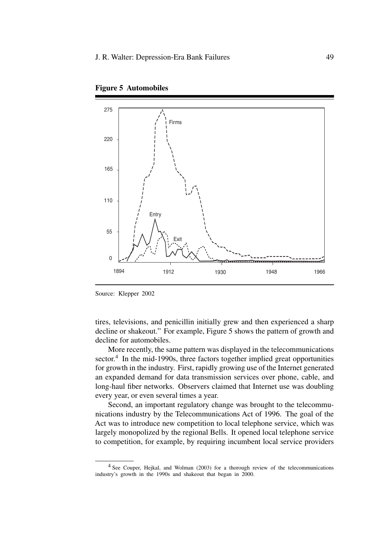



tires, televisions, and penicillin initially grew and then experienced a sharp decline or shakeout." For example, Figure 5 shows the pattern of growth and decline for automobiles.

More recently, the same pattern was displayed in the telecommunications sector. $4$  In the mid-1990s, three factors together implied great opportunities for growth in the industry. First, rapidly growing use of the Internet generated an expanded demand for data transmission services over phone, cable, and long-haul fiber networks. Observers claimed that Internet use was doubling every year, or even several times a year.

Second, an important regulatory change was brought to the telecommunications industry by the Telecommunications Act of 1996. The goal of the Act was to introduce new competition to local telephone service, which was largely monopolized by the regional Bells. It opened local telephone service to competition, for example, by requiring incumbent local service providers

Source: Klepper 2002

<sup>&</sup>lt;sup>4</sup> See Couper, Hejkal, and Wolman (2003) for a thorough review of the telecommunications industry's growth in the 1990s and shakeout that began in 2000.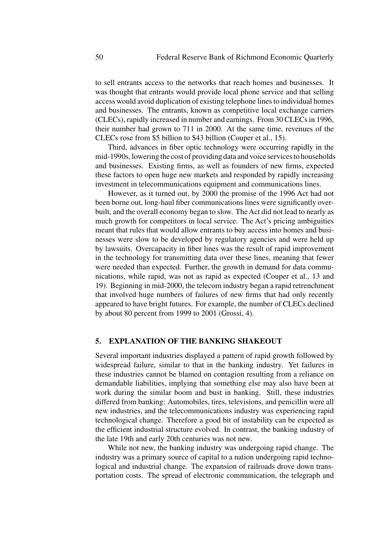to sell entrants access to the networks that reach homes and businesses. It was thought that entrants would provide local phone service and that selling access would avoid duplication of existing telephone lines to individual homes and businesses. The entrants, known as competitive local exchange carriers (CLECs), rapidly increased in number and earnings. From 30 CLECs in 1996, their number had grown to 711 in 2000. At the same time, revenues of the CLECs rose from \$5 billion to \$43 billion (Couper et al., 15).

Third, advances in fiber optic technology were occurring rapidly in the mid-1990s, lowering the cost of providing data and voice services to households and businesses. Existing firms, as well as founders of new firms, expected these factors to open huge new markets and responded by rapidly increasing investment in telecommunications equipment and communications lines.

However, as it turned out, by 2000 the promise of the 1996 Act had not been borne out, long-haul fiber communications lines were significantly overbuilt, and the overall economy began to slow. The Act did not lead to nearly as much growth for competitors in local service. The Act's pricing ambiguities meant that rules that would allow entrants to buy access into homes and businesses were slow to be developed by regulatory agencies and were held up by lawsuits. Overcapacity in fiber lines was the result of rapid improvement in the technology for transmitting data over these lines, meaning that fewer were needed than expected. Further, the growth in demand for data communications, while rapid, was not as rapid as expected (Couper et al., 13 and 19). Beginning in mid-2000, the telecom industry began a rapid retrenchment that involved huge numbers of failures of new firms that had only recently appeared to have bright futures. For example, the number of CLECs declined by about 80 percent from 1999 to 2001 (Grossi, 4).

#### **5. EXPLANATION OF THE BANKING SHAKEOUT**

Several important industries displayed a pattern of rapid growth followed by widespread failure, similar to that in the banking industry. Yet failures in these industries cannot be blamed on contagion resulting from a reliance on demandable liabilities, implying that something else may also have been at work during the similar boom and bust in banking. Still, these industries differed from banking: Automobiles, tires, televisions, and penicillin were all new industries, and the telecommunications industry was experiencing rapid technological change. Therefore a good bit of instability can be expected as the efficient industrial structure evolved. In contrast, the banking industry of the late 19th and early 20th centuries was not new.

While not new, the banking industry was undergoing rapid change. The industry was a primary source of capital to a nation undergoing rapid technological and industrial change. The expansion of railroads drove down transportation costs. The spread of electronic communication, the telegraph and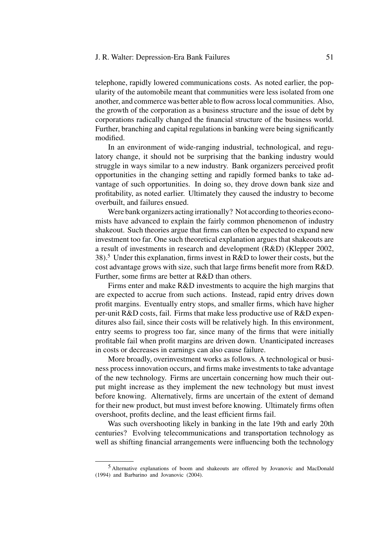#### J. R. Walter: Depression-Era Bank Failures 51

telephone, rapidly lowered communications costs. As noted earlier, the popularity of the automobile meant that communities were less isolated from one another, and commerce was better able to flow across local communities. Also, the growth of the corporation as a business structure and the issue of debt by corporations radically changed the financial structure of the business world. Further, branching and capital regulations in banking were being significantly modified.

In an environment of wide-ranging industrial, technological, and regulatory change, it should not be surprising that the banking industry would struggle in ways similar to a new industry. Bank organizers perceived profit opportunities in the changing setting and rapidly formed banks to take advantage of such opportunities. In doing so, they drove down bank size and profitability, as noted earlier. Ultimately they caused the industry to become overbuilt, and failures ensued.

Were bank organizers acting irrationally? Not according to theories economists have advanced to explain the fairly common phenomenon of industry shakeout. Such theories argue that firms can often be expected to expand new investment too far. One such theoretical explanation argues that shakeouts are a result of investments in research and development (R&D) (Klepper 2002, 38).<sup>5</sup> Under this explanation, firms invest in R&D to lower their costs, but the cost advantage grows with size, such that large firms benefit more from R&D. Further, some firms are better at R&D than others.

Firms enter and make R&D investments to acquire the high margins that are expected to accrue from such actions. Instead, rapid entry drives down profit margins. Eventually entry stops, and smaller firms, which have higher per-unit R&D costs, fail. Firms that make less productive use of R&D expenditures also fail, since their costs will be relatively high. In this environment, entry seems to progress too far, since many of the firms that were initially profitable fail when profit margins are driven down. Unanticipated increases in costs or decreases in earnings can also cause failure.

More broadly, overinvestment works as follows. A technological or business process innovation occurs, and firms make investments to take advantage of the new technology. Firms are uncertain concerning how much their output might increase as they implement the new technology but must invest before knowing. Alternatively, firms are uncertain of the extent of demand for their new product, but must invest before knowing. Ultimately firms often overshoot, profits decline, and the least efficient firms fail.

Was such overshooting likely in banking in the late 19th and early 20th centuries? Evolving telecommunications and transportation technology as well as shifting financial arrangements were influencing both the technology

<sup>5</sup> Alternative explanations of boom and shakeouts are offered by Jovanovic and MacDonald (1994) and Barbarino and Jovanovic (2004).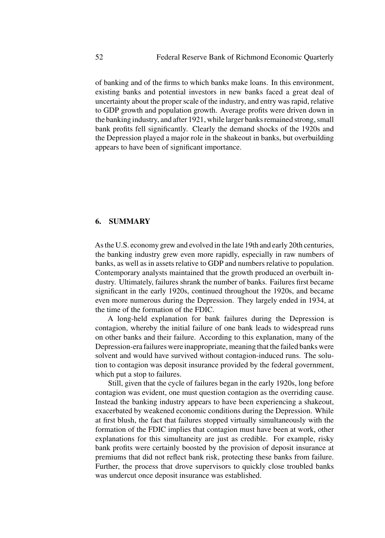of banking and of the firms to which banks make loans. In this environment, existing banks and potential investors in new banks faced a great deal of uncertainty about the proper scale of the industry, and entry was rapid, relative to GDP growth and population growth. Average profits were driven down in the banking industry, and after 1921, while larger banks remained strong, small bank profits fell significantly. Clearly the demand shocks of the 1920s and the Depression played a major role in the shakeout in banks, but overbuilding appears to have been of significant importance.

# **6. SUMMARY**

As the U.S. economy grew and evolved in the late 19th and early 20th centuries, the banking industry grew even more rapidly, especially in raw numbers of banks, as well as in assets relative to GDP and numbers relative to population. Contemporary analysts maintained that the growth produced an overbuilt industry. Ultimately, failures shrank the number of banks. Failures first became significant in the early 1920s, continued throughout the 1920s, and became even more numerous during the Depression. They largely ended in 1934, at the time of the formation of the FDIC.

A long-held explanation for bank failures during the Depression is contagion, whereby the initial failure of one bank leads to widespread runs on other banks and their failure. According to this explanation, many of the Depression-era failures were inappropriate, meaning that the failed banks were solvent and would have survived without contagion-induced runs. The solution to contagion was deposit insurance provided by the federal government, which put a stop to failures.

Still, given that the cycle of failures began in the early 1920s, long before contagion was evident, one must question contagion as the overriding cause. Instead the banking industry appears to have been experiencing a shakeout, exacerbated by weakened economic conditions during the Depression. While at first blush, the fact that failures stopped virtually simultaneously with the formation of the FDIC implies that contagion must have been at work, other explanations for this simultaneity are just as credible. For example, risky bank profits were certainly boosted by the provision of deposit insurance at premiums that did not reflect bank risk, protecting these banks from failure. Further, the process that drove supervisors to quickly close troubled banks was undercut once deposit insurance was established.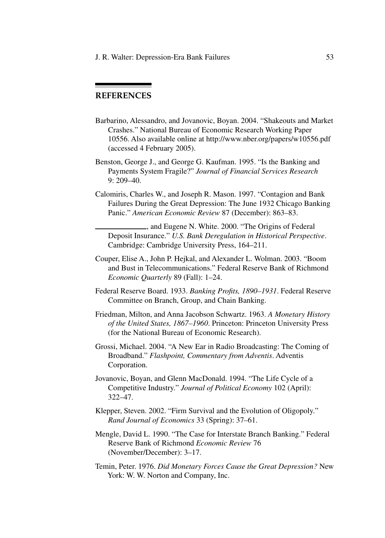J. R. Walter: Depression-Era Bank Failures 53

# **REFERENCES**

- Barbarino, Alessandro, and Jovanovic, Boyan. 2004. "Shakeouts and Market Crashes." National Bureau of Economic Research Working Paper 10556. Also available online at http://www.nber.org/papers/w10556.pdf (accessed 4 February 2005).
- Benston, George J., and George G. Kaufman. 1995. "Is the Banking and Payments System Fragile?" *Journal of Financial Services Research* 9: 209–40.
- Calomiris, Charles W., and Joseph R. Mason. 1997. "Contagion and Bank Failures During the Great Depression: The June 1932 Chicago Banking Panic." *American Economic Review* 87 (December): 863–83.
	- , and Eugene N. White. 2000. "The Origins of Federal Deposit Insurance." *U.S. Bank Deregulation in Historical Perspective*. Cambridge: Cambridge University Press, 164–211.
- Couper, Elise A., John P. Hejkal, and Alexander L. Wolman. 2003. "Boom and Bust in Telecommunications." Federal Reserve Bank of Richmond *Economic Quarterly* 89 (Fall): 1–24.
- Federal Reserve Board. 1933. *Banking Profits, 1890–1931*. Federal Reserve Committee on Branch, Group, and Chain Banking.
- Friedman, Milton, and Anna Jacobson Schwartz. 1963. *A Monetary History of the United States, 1867–1960*. Princeton: Princeton University Press (for the National Bureau of Economic Research).
- Grossi, Michael. 2004. "A New Ear in Radio Broadcasting: The Coming of Broadband." *Flashpoint, Commentary from Adventis*. Adventis Corporation.
- Jovanovic, Boyan, and Glenn MacDonald. 1994. "The Life Cycle of a Competitive Industry." *Journal of Political Economy* 102 (April): 322–47.
- Klepper, Steven. 2002. "Firm Survival and the Evolution of Oligopoly." *Rand Journal of Economics* 33 (Spring): 37–61.
- Mengle, David L. 1990. "The Case for Interstate Branch Banking." Federal Reserve Bank of Richmond *Economic Review* 76 (November/December): 3–17.
- Temin, Peter. 1976. *Did Monetary Forces Cause the Great Depression?* New York: W. W. Norton and Company, Inc.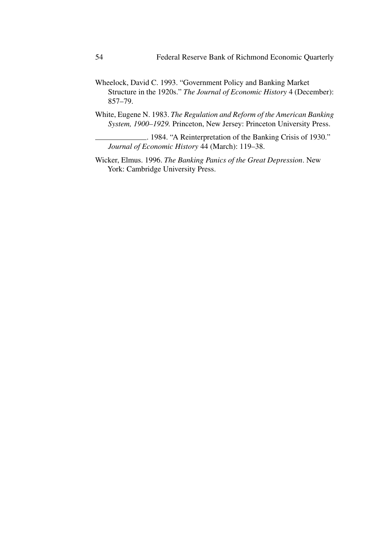- Wheelock, David C. 1993. "Government Policy and Banking Market Structure in the 1920s." *The Journal of Economic History* 4 (December): 857–79.
- White, Eugene N. 1983. *The Regulation and Reform of the American Banking System, 1900–1929.* Princeton, New Jersey: Princeton University Press.
	- . 1984. "A Reinterpretation of the Banking Crisis of 1930." *Journal of Economic History* 44 (March): 119–38.
- Wicker, Elmus. 1996. *The Banking Panics of the Great Depression*. New York: Cambridge University Press.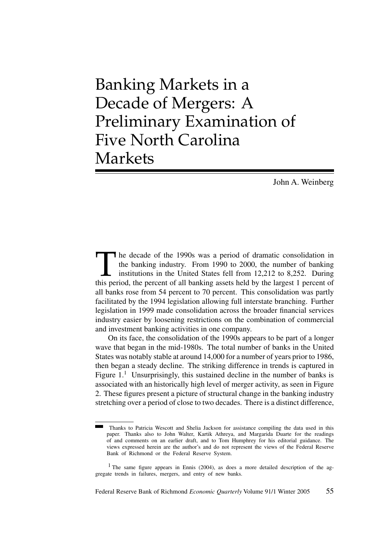Banking Markets in a Decade of Mergers: A Preliminary Examination of Five North Carolina Markets

John A. Weinberg

The decade of the 1990s was a period of dramatic consolidation in the banking industry. From 1990 to 2000, the number of banking institutions in the United States fell from 12,212 to 8,252. During this period, the percent the banking industry. From 1990 to 2000, the number of banking institutions in the United States fell from 12,212 to 8,252. During this period, the percent of all banking assets held by the largest 1 percent of all banks rose from 54 percent to 70 percent. This consolidation was partly facilitated by the 1994 legislation allowing full interstate branching. Further legislation in 1999 made consolidation across the broader financial services industry easier by loosening restrictions on the combination of commercial and investment banking activities in one company.

On its face, the consolidation of the 1990s appears to be part of a longer wave that began in the mid-1980s. The total number of banks in the United States was notably stable at around 14,000 for a number of years prior to 1986, then began a steady decline. The striking difference in trends is captured in Figure  $1<sup>1</sup>$  Unsurprisingly, this sustained decline in the number of banks is associated with an historically high level of merger activity, as seen in Figure 2. These figures present a picture of structural change in the banking industry stretching over a period of close to two decades. There is a distinct difference,

Thanks to Patricia Wescott and Shelia Jackson for assistance compiling the data used in this paper. Thanks also to John Walter, Kartik Athreya, and Margarida Duarte for the readings of and comments on an earlier draft, and to Tom Humphrey for his editorial guidance. The views expressed herein are the author's and do not represent the views of the Federal Reserve Bank of Richmond or the Federal Reserve System.

<sup>&</sup>lt;sup>1</sup> The same figure appears in Ennis (2004), as does a more detailed description of the aggregate trends in failures, mergers, and entry of new banks.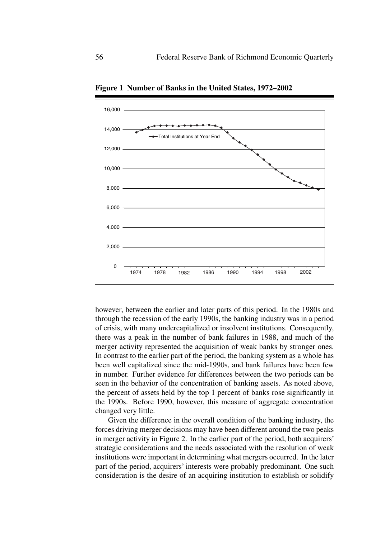

**Figure 1 Number of Banks in the United States, 1972–2002**

however, between the earlier and later parts of this period. In the 1980s and through the recession of the early 1990s, the banking industry was in a period of crisis, with many undercapitalized or insolvent institutions. Consequently, there was a peak in the number of bank failures in 1988, and much of the merger activity represented the acquisition of weak banks by stronger ones. In contrast to the earlier part of the period, the banking system as a whole has been well capitalized since the mid-1990s, and bank failures have been few in number. Further evidence for differences between the two periods can be seen in the behavior of the concentration of banking assets. As noted above, the percent of assets held by the top 1 percent of banks rose significantly in the 1990s. Before 1990, however, this measure of aggregate concentration changed very little.

Given the difference in the overall condition of the banking industry, the forces driving merger decisions may have been different around the two peaks in merger activity in Figure 2. In the earlier part of the period, both acquirers' strategic considerations and the needs associated with the resolution of weak institutions were important in determining what mergers occurred. In the later part of the period, acquirers' interests were probably predominant. One such consideration is the desire of an acquiring institution to establish or solidify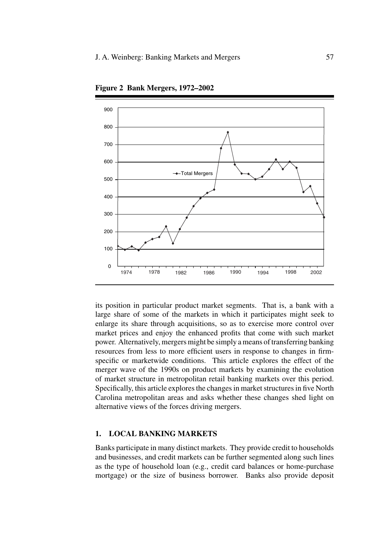

**Figure 2 Bank Mergers, 1972–2002**

its position in particular product market segments. That is, a bank with a large share of some of the markets in which it participates might seek to enlarge its share through acquisitions, so as to exercise more control over market prices and enjoy the enhanced profits that come with such market power. Alternatively, mergers might be simply a means of transferring banking resources from less to more efficient users in response to changes in firmspecific or marketwide conditions. This article explores the effect of the merger wave of the 1990s on product markets by examining the evolution of market structure in metropolitan retail banking markets over this period. Specifically, this article explores the changes in market structures in five North Carolina metropolitan areas and asks whether these changes shed light on alternative views of the forces driving mergers.

#### **1. LOCAL BANKING MARKETS**

Banks participate in many distinct markets. They provide credit to households and businesses, and credit markets can be further segmented along such lines as the type of household loan (e.g., credit card balances or home-purchase mortgage) or the size of business borrower. Banks also provide deposit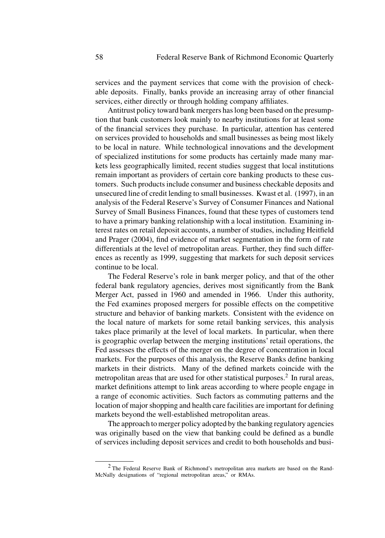services and the payment services that come with the provision of checkable deposits. Finally, banks provide an increasing array of other financial services, either directly or through holding company affiliates.

Antitrust policy toward bank mergers has long been based on the presumption that bank customers look mainly to nearby institutions for at least some of the financial services they purchase. In particular, attention has centered on services provided to households and small businesses as being most likely to be local in nature. While technological innovations and the development of specialized institutions for some products has certainly made many markets less geographically limited, recent studies suggest that local institutions remain important as providers of certain core banking products to these customers. Such products include consumer and business checkable deposits and unsecured line of credit lending to small businesses. Kwast et al. (1997), in an analysis of the Federal Reserve's Survey of Consumer Finances and National Survey of Small Business Finances, found that these types of customers tend to have a primary banking relationship with a local institution. Examining interest rates on retail deposit accounts, a number of studies, including Heitfield and Prager (2004), find evidence of market segmentation in the form of rate differentials at the level of metropolitan areas. Further, they find such differences as recently as 1999, suggesting that markets for such deposit services continue to be local.

The Federal Reserve's role in bank merger policy, and that of the other federal bank regulatory agencies, derives most significantly from the Bank Merger Act, passed in 1960 and amended in 1966. Under this authority, the Fed examines proposed mergers for possible effects on the competitive structure and behavior of banking markets. Consistent with the evidence on the local nature of markets for some retail banking services, this analysis takes place primarily at the level of local markets. In particular, when there is geographic overlap between the merging institutions' retail operations, the Fed assesses the effects of the merger on the degree of concentration in local markets. For the purposes of this analysis, the Reserve Banks define banking markets in their districts. Many of the defined markets coincide with the metropolitan areas that are used for other statistical purposes. $<sup>2</sup>$  In rural areas,</sup> market definitions attempt to link areas according to where people engage in a range of economic activities. Such factors as commuting patterns and the location of major shopping and health care facilities are important for defining markets beyond the well-established metropolitan areas.

The approach to merger policy adopted by the banking regulatory agencies was originally based on the view that banking could be defined as a bundle of services including deposit services and credit to both households and busi-

<sup>2</sup> The Federal Reserve Bank of Richmond's metropolitan area markets are based on the Rand-McNally designations of "regional metropolitan areas," or RMAs.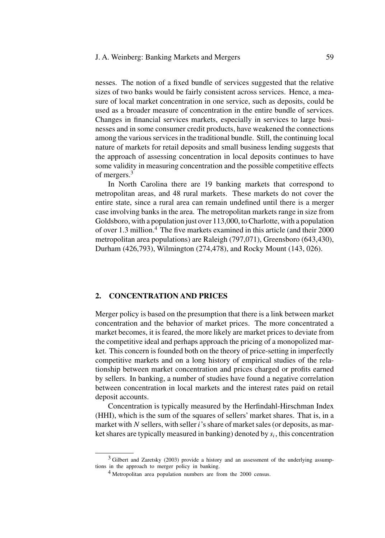# J. A. Weinberg: Banking Markets and Mergers 59

nesses. The notion of a fixed bundle of services suggested that the relative sizes of two banks would be fairly consistent across services. Hence, a measure of local market concentration in one service, such as deposits, could be used as a broader measure of concentration in the entire bundle of services. Changes in financial services markets, especially in services to large businesses and in some consumer credit products, have weakened the connections among the various services in the traditional bundle. Still, the continuing local nature of markets for retail deposits and small business lending suggests that the approach of assessing concentration in local deposits continues to have some validity in measuring concentration and the possible competitive effects of mergers.<sup>3</sup>

In North Carolina there are 19 banking markets that correspond to metropolitan areas, and 48 rural markets. These markets do not cover the entire state, since a rural area can remain undefined until there is a merger case involving banks in the area. The metropolitan markets range in size from Goldsboro, with a population just over 113,000, to Charlotte, with a population of over 1.3 million.<sup>4</sup> The five markets examined in this article (and their 2000 metropolitan area populations) are Raleigh (797,071), Greensboro (643,430), Durham (426,793), Wilmington (274,478), and Rocky Mount (143, 026).

#### **2. CONCENTRATION AND PRICES**

Merger policy is based on the presumption that there is a link between market concentration and the behavior of market prices. The more concentrated a market becomes, it is feared, the more likely are market prices to deviate from the competitive ideal and perhaps approach the pricing of a monopolized market. This concern is founded both on the theory of price-setting in imperfectly competitive markets and on a long history of empirical studies of the relationship between market concentration and prices charged or profits earned by sellers. In banking, a number of studies have found a negative correlation between concentration in local markets and the interest rates paid on retail deposit accounts.

Concentration is typically measured by the Herfindahl-Hirschman Index (HHI), which is the sum of the squares of sellers' market shares. That is, in a market with  $N$  sellers, with seller  $i$ 's share of market sales (or deposits, as market shares are typically measured in banking) denoted by  $s_i$ , this concentration

<sup>3</sup> Gilbert and Zaretsky (2003) provide a history and an assessment of the underlying assumptions in the approach to merger policy in banking.

<sup>4</sup> Metropolitan area population numbers are from the 2000 census.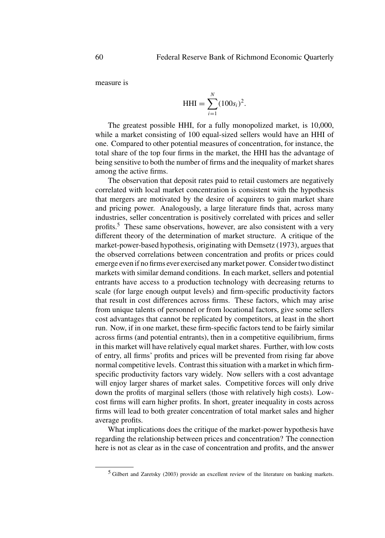measure is

$$
HHI = \sum_{i=1}^{N} (100s_i)^2.
$$

The greatest possible HHI, for a fully monopolized market, is 10,000, while a market consisting of 100 equal-sized sellers would have an HHI of one. Compared to other potential measures of concentration, for instance, the total share of the top four firms in the market, the HHI has the advantage of being sensitive to both the number of firms and the inequality of market shares among the active firms.

The observation that deposit rates paid to retail customers are negatively correlated with local market concentration is consistent with the hypothesis that mergers are motivated by the desire of acquirers to gain market share and pricing power. Analogously, a large literature finds that, across many industries, seller concentration is positively correlated with prices and seller profits.<sup>5</sup> These same observations, however, are also consistent with a very different theory of the determination of market structure. A critique of the market-power-based hypothesis, originating with Demsetz (1973), argues that the observed correlations between concentration and profits or prices could emerge even if no firms ever exercised any market power. Consider two distinct markets with similar demand conditions. In each market, sellers and potential entrants have access to a production technology with decreasing returns to scale (for large enough output levels) and firm-specific productivity factors that result in cost differences across firms. These factors, which may arise from unique talents of personnel or from locational factors, give some sellers cost advantages that cannot be replicated by competitors, at least in the short run. Now, if in one market, these firm-specific factors tend to be fairly similar across firms (and potential entrants), then in a competitive equilibrium, firms in this market will have relatively equal market shares. Further, with low costs of entry, all firms' profits and prices will be prevented from rising far above normal competitive levels. Contrast this situation with a market in which firmspecific productivity factors vary widely. Now sellers with a cost advantage will enjoy larger shares of market sales. Competitive forces will only drive down the profits of marginal sellers (those with relatively high costs). Lowcost firms will earn higher profits. In short, greater inequality in costs across firms will lead to both greater concentration of total market sales and higher average profits.

What implications does the critique of the market-power hypothesis have regarding the relationship between prices and concentration? The connection here is not as clear as in the case of concentration and profits, and the answer

<sup>&</sup>lt;sup>5</sup> Gilbert and Zaretsky (2003) provide an excellent review of the literature on banking markets.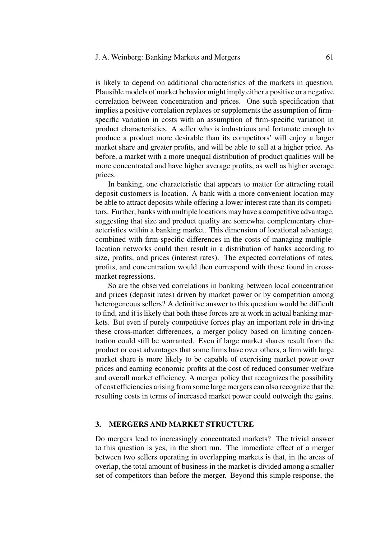#### J. A. Weinberg: Banking Markets and Mergers 61

is likely to depend on additional characteristics of the markets in question. Plausible models of market behavior might imply either a positive or a negative correlation between concentration and prices. One such specification that implies a positive correlation replaces or supplements the assumption of firmspecific variation in costs with an assumption of firm-specific variation in product characteristics. A seller who is industrious and fortunate enough to produce a product more desirable than its competitors' will enjoy a larger market share and greater profits, and will be able to sell at a higher price. As before, a market with a more unequal distribution of product qualities will be more concentrated and have higher average profits, as well as higher average prices.

In banking, one characteristic that appears to matter for attracting retail deposit customers is location. A bank with a more convenient location may be able to attract deposits while offering a lower interest rate than its competitors. Further, banks with multiple locations may have a competitive advantage, suggesting that size and product quality are somewhat complementary characteristics within a banking market. This dimension of locational advantage, combined with firm-specific differences in the costs of managing multiplelocation networks could then result in a distribution of banks according to size, profits, and prices (interest rates). The expected correlations of rates, profits, and concentration would then correspond with those found in crossmarket regressions.

So are the observed correlations in banking between local concentration and prices (deposit rates) driven by market power or by competition among heterogeneous sellers? A definitive answer to this question would be difficult to find, and it is likely that both these forces are at work in actual banking markets. But even if purely competitive forces play an important role in driving these cross-market differences, a merger policy based on limiting concentration could still be warranted. Even if large market shares result from the product or cost advantages that some firms have over others, a firm with large market share is more likely to be capable of exercising market power over prices and earning economic profits at the cost of reduced consumer welfare and overall market efficiency. A merger policy that recognizes the possibility of cost efficiencies arising from some large mergers can also recognize that the resulting costs in terms of increased market power could outweigh the gains.

### **3. MERGERS AND MARKET STRUCTURE**

Do mergers lead to increasingly concentrated markets? The trivial answer to this question is yes, in the short run. The immediate effect of a merger between two sellers operating in overlapping markets is that, in the areas of overlap, the total amount of business in the market is divided among a smaller set of competitors than before the merger. Beyond this simple response, the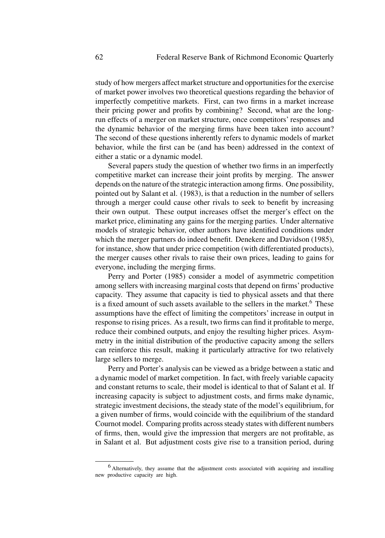study of how mergers affect market structure and opportunities for the exercise of market power involves two theoretical questions regarding the behavior of imperfectly competitive markets. First, can two firms in a market increase their pricing power and profits by combining? Second, what are the longrun effects of a merger on market structure, once competitors' responses and the dynamic behavior of the merging firms have been taken into account? The second of these questions inherently refers to dynamic models of market behavior, while the first can be (and has been) addressed in the context of either a static or a dynamic model.

Several papers study the question of whether two firms in an imperfectly competitive market can increase their joint profits by merging. The answer depends on the nature of the strategic interaction among firms. One possibility, pointed out by Salant et al. (1983), is that a reduction in the number of sellers through a merger could cause other rivals to seek to benefit by increasing their own output. These output increases offset the merger's effect on the market price, eliminating any gains for the merging parties. Under alternative models of strategic behavior, other authors have identified conditions under which the merger partners do indeed benefit. Denekere and Davidson (1985), for instance, show that under price competition (with differentiated products), the merger causes other rivals to raise their own prices, leading to gains for everyone, including the merging firms.

Perry and Porter (1985) consider a model of asymmetric competition among sellers with increasing marginal costs that depend on firms' productive capacity. They assume that capacity is tied to physical assets and that there is a fixed amount of such assets available to the sellers in the market.<sup>6</sup> These assumptions have the effect of limiting the competitors' increase in output in response to rising prices. As a result, two firms can find it profitable to merge, reduce their combined outputs, and enjoy the resulting higher prices. Asymmetry in the initial distribution of the productive capacity among the sellers can reinforce this result, making it particularly attractive for two relatively large sellers to merge.

Perry and Porter's analysis can be viewed as a bridge between a static and a dynamic model of market competition. In fact, with freely variable capacity and constant returns to scale, their model is identical to that of Salant et al. If increasing capacity is subject to adjustment costs, and firms make dynamic, strategic investment decisions, the steady state of the model's equilibrium, for a given number of firms, would coincide with the equilibrium of the standard Cournot model. Comparing profits across steady states with different numbers of firms, then, would give the impression that mergers are not profitable, as in Salant et al. But adjustment costs give rise to a transition period, during

<sup>6</sup> Alternatively, they assume that the adjustment costs associated with acquiring and installing new productive capacity are high.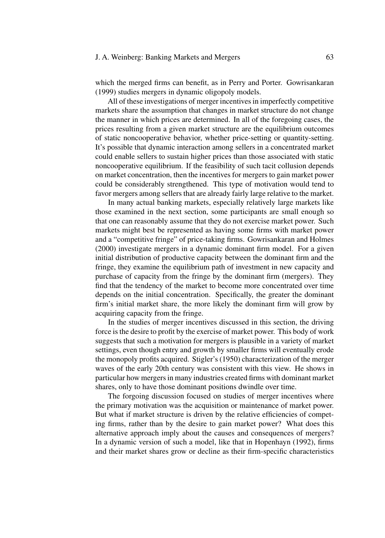#### J. A. Weinberg: Banking Markets and Mergers 63

which the merged firms can benefit, as in Perry and Porter. Gowrisankaran (1999) studies mergers in dynamic oligopoly models.

All of these investigations of merger incentives in imperfectly competitive markets share the assumption that changes in market structure do not change the manner in which prices are determined. In all of the foregoing cases, the prices resulting from a given market structure are the equilibrium outcomes of static noncooperative behavior, whether price-setting or quantity-setting. It's possible that dynamic interaction among sellers in a concentrated market could enable sellers to sustain higher prices than those associated with static noncooperative equilibrium. If the feasibility of such tacit collusion depends on market concentration, then the incentives for mergers to gain market power could be considerably strengthened. This type of motivation would tend to favor mergers among sellers that are already fairly large relative to the market.

In many actual banking markets, especially relatively large markets like those examined in the next section, some participants are small enough so that one can reasonably assume that they do not exercise market power. Such markets might best be represented as having some firms with market power and a "competitive fringe" of price-taking firms. Gowrisankaran and Holmes (2000) investigate mergers in a dynamic dominant firm model. For a given initial distribution of productive capacity between the dominant firm and the fringe, they examine the equilibrium path of investment in new capacity and purchase of capacity from the fringe by the dominant firm (mergers). They find that the tendency of the market to become more concentrated over time depends on the initial concentration. Specifically, the greater the dominant firm's initial market share, the more likely the dominant firm will grow by acquiring capacity from the fringe.

In the studies of merger incentives discussed in this section, the driving force is the desire to profit by the exercise of market power. This body of work suggests that such a motivation for mergers is plausible in a variety of market settings, even though entry and growth by smaller firms will eventually erode the monopoly profits acquired. Stigler's (1950) characterization of the merger waves of the early 20th century was consistent with this view. He shows in particular how mergers in many industries created firms with dominant market shares, only to have those dominant positions dwindle over time.

The forgoing discussion focused on studies of merger incentives where the primary motivation was the acquisition or maintenance of market power. But what if market structure is driven by the relative efficiencies of competing firms, rather than by the desire to gain market power? What does this alternative approach imply about the causes and consequences of mergers? In a dynamic version of such a model, like that in Hopenhayn (1992), firms and their market shares grow or decline as their firm-specific characteristics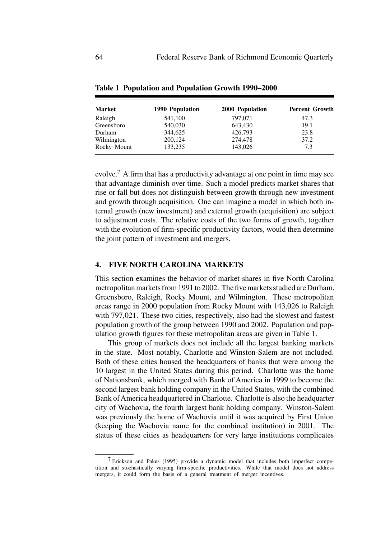| Market      | 1990 Population | 2000 Population | <b>Percent Growth</b> |
|-------------|-----------------|-----------------|-----------------------|
| Raleigh     | 541,100         | 797,071         | 47.3                  |
| Greensboro  | 540,030         | 643,430         | 19.1                  |
| Durham      | 344,625         | 426,793         | 23.8                  |
| Wilmington  | 200,124         | 274,478         | 37.2                  |
| Rocky Mount | 133,235         | 143,026         | 7.3                   |

**Table 1 Population and Population Growth 1990–2000**

evolve.<sup>7</sup> A firm that has a productivity advantage at one point in time may see that advantage diminish over time. Such a model predicts market shares that rise or fall but does not distinguish between growth through new investment and growth through acquisition. One can imagine a model in which both internal growth (new investment) and external growth (acquisition) are subject to adjustment costs. The relative costs of the two forms of growth, together with the evolution of firm-specific productivity factors, would then determine the joint pattern of investment and mergers.

## **4. FIVE NORTH CAROLINA MARKETS**

This section examines the behavior of market shares in five North Carolina metropolitan markets from 1991 to 2002. The five markets studied are Durham, Greensboro, Raleigh, Rocky Mount, and Wilmington. These metropolitan areas range in 2000 population from Rocky Mount with 143,026 to Raleigh with 797,021. These two cities, respectively, also had the slowest and fastest population growth of the group between 1990 and 2002. Population and population growth figures for these metropolitan areas are given in Table 1.

This group of markets does not include all the largest banking markets in the state. Most notably, Charlotte and Winston-Salem are not included. Both of these cities housed the headquarters of banks that were among the 10 largest in the United States during this period. Charlotte was the home of Nationsbank, which merged with Bank of America in 1999 to become the second largest bank holding company in the United States, with the combined Bank of America headquartered in Charlotte. Charlotte is also the headquarter city of Wachovia, the fourth largest bank holding company. Winston-Salem was previously the home of Wachovia until it was acquired by First Union (keeping the Wachovia name for the combined institution) in 2001. The status of these cities as headquarters for very large institutions complicates

<sup>7</sup> Erickson and Pakes (1995) provide a dynamic model that includes both imperfect competition and stochastically varying firm-specific productivities. While that model does not address mergers, it could form the basis of a general treatment of merger incentives.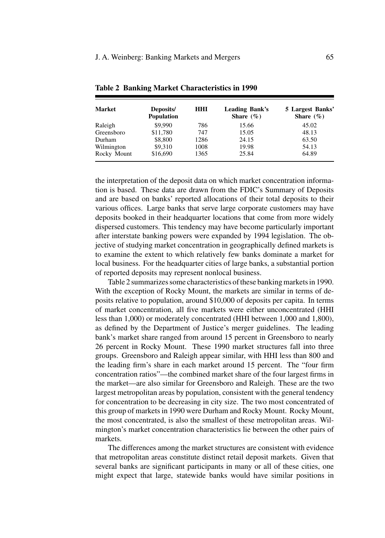| <b>Market</b> | Deposits/<br><b>Population</b> | <b>HHI</b> | <b>Leading Bank's</b><br>Share $(\% )$ | 5 Largest Banks'<br>Share $(\% )$ |
|---------------|--------------------------------|------------|----------------------------------------|-----------------------------------|
| Raleigh       | \$9,990                        | 786        | 15.66                                  | 45.02                             |
| Greensboro    | \$11,780                       | 747        | 15.05                                  | 48.13                             |
| Durham        | \$8,800                        | 1286       | 24.15                                  | 63.50                             |
| Wilmington    | \$9,310                        | 1008       | 19.98                                  | 54.13                             |
| Rocky Mount   | \$16,690                       | 1365       | 25.84                                  | 64.89                             |

**Table 2 Banking Market Characteristics in 1990**

the interpretation of the deposit data on which market concentration information is based. These data are drawn from the FDIC's Summary of Deposits and are based on banks' reported allocations of their total deposits to their various offices. Large banks that serve large corporate customers may have deposits booked in their headquarter locations that come from more widely dispersed customers. This tendency may have become particularly important after interstate banking powers were expanded by 1994 legislation. The objective of studying market concentration in geographically defined markets is to examine the extent to which relatively few banks dominate a market for local business. For the headquarter cities of large banks, a substantial portion of reported deposits may represent nonlocal business.

Table 2 summarizes some characteristics of these banking markets in 1990. With the exception of Rocky Mount, the markets are similar in terms of deposits relative to population, around \$10,000 of deposits per capita. In terms of market concentration, all five markets were either unconcentrated (HHI less than 1,000) or moderately concentrated (HHI between 1,000 and 1,800), as defined by the Department of Justice's merger guidelines. The leading bank's market share ranged from around 15 percent in Greensboro to nearly 26 percent in Rocky Mount. These 1990 market structures fall into three groups. Greensboro and Raleigh appear similar, with HHI less than 800 and the leading firm's share in each market around 15 percent. The "four firm concentration ratios"—the combined market share of the four largest firms in the market—are also similar for Greensboro and Raleigh. These are the two largest metropolitan areas by population, consistent with the general tendency for concentration to be decreasing in city size. The two most concentrated of this group of markets in 1990 were Durham and Rocky Mount. Rocky Mount, the most concentrated, is also the smallest of these metropolitan areas. Wilmington's market concentration characteristics lie between the other pairs of markets.

The differences among the market structures are consistent with evidence that metropolitan areas constitute distinct retail deposit markets. Given that several banks are significant participants in many or all of these cities, one might expect that large, statewide banks would have similar positions in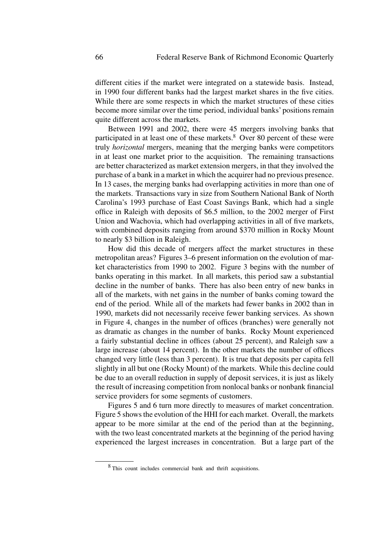different cities if the market were integrated on a statewide basis. Instead, in 1990 four different banks had the largest market shares in the five cities. While there are some respects in which the market structures of these cities become more similar over the time period, individual banks' positions remain quite different across the markets.

Between 1991 and 2002, there were 45 mergers involving banks that participated in at least one of these markets. $8$  Over 80 percent of these were truly *horizontal* mergers, meaning that the merging banks were competitors in at least one market prior to the acquisition. The remaining transactions are better characterized as market extension mergers, in that they involved the purchase of a bank in a market in which the acquirer had no previous presence. In 13 cases, the merging banks had overlapping activities in more than one of the markets. Transactions vary in size from Southern National Bank of North Carolina's 1993 purchase of East Coast Savings Bank, which had a single office in Raleigh with deposits of \$6.5 million, to the 2002 merger of First Union and Wachovia, which had overlapping activities in all of five markets, with combined deposits ranging from around \$370 million in Rocky Mount to nearly \$3 billion in Raleigh.

How did this decade of mergers affect the market structures in these metropolitan areas? Figures 3–6 present information on the evolution of market characteristics from 1990 to 2002. Figure 3 begins with the number of banks operating in this market. In all markets, this period saw a substantial decline in the number of banks. There has also been entry of new banks in all of the markets, with net gains in the number of banks coming toward the end of the period. While all of the markets had fewer banks in 2002 than in 1990, markets did not necessarily receive fewer banking services. As shown in Figure 4, changes in the number of offices (branches) were generally not as dramatic as changes in the number of banks. Rocky Mount experienced a fairly substantial decline in offices (about 25 percent), and Raleigh saw a large increase (about 14 percent). In the other markets the number of offices changed very little (less than 3 percent). It is true that deposits per capita fell slightly in all but one (Rocky Mount) of the markets. While this decline could be due to an overall reduction in supply of deposit services, it is just as likely the result of increasing competition from nonlocal banks or nonbank financial service providers for some segments of customers.

Figures 5 and 6 turn more directly to measures of market concentration. Figure 5 shows the evolution of the HHI for each market. Overall, the markets appear to be more similar at the end of the period than at the beginning, with the two least concentrated markets at the beginning of the period having experienced the largest increases in concentration. But a large part of the

<sup>8</sup> This count includes commercial bank and thrift acquisitions.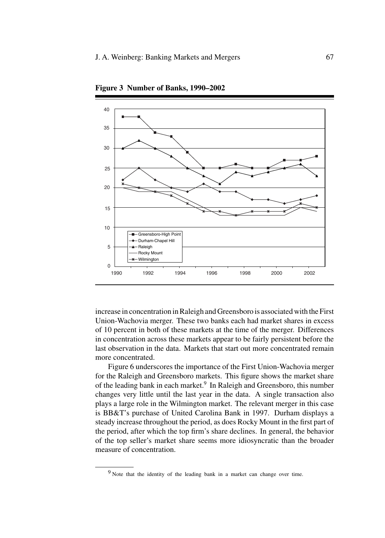

**Figure 3 Number of Banks, 1990–2002**

increase in concentration in Raleigh and Greensboro is associated with the First Union-Wachovia merger. These two banks each had market shares in excess of 10 percent in both of these markets at the time of the merger. Differences in concentration across these markets appear to be fairly persistent before the last observation in the data. Markets that start out more concentrated remain more concentrated.

Figure 6 underscores the importance of the First Union-Wachovia merger for the Raleigh and Greensboro markets. This figure shows the market share of the leading bank in each market.<sup>9</sup> In Raleigh and Greensboro, this number changes very little until the last year in the data. A single transaction also plays a large role in the Wilmington market. The relevant merger in this case is BB&T's purchase of United Carolina Bank in 1997. Durham displays a steady increase throughout the period, as does Rocky Mount in the first part of the period, after which the top firm's share declines. In general, the behavior of the top seller's market share seems more idiosyncratic than the broader measure of concentration.

<sup>&</sup>lt;sup>9</sup> Note that the identity of the leading bank in a market can change over time.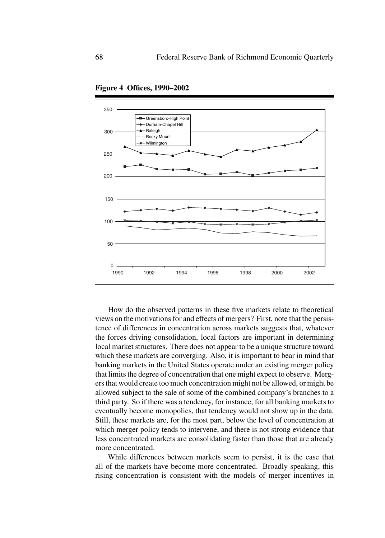

**Figure 4 Offices, 1990–2002**

How do the observed patterns in these five markets relate to theoretical views on the motivations for and effects of mergers? First, note that the persistence of differences in concentration across markets suggests that, whatever the forces driving consolidation, local factors are important in determining local market structures. There does not appear to be a unique structure toward which these markets are converging. Also, it is important to bear in mind that banking markets in the United States operate under an existing merger policy that limits the degree of concentration that one might expect to observe. Mergers that would create too much concentration might not be allowed, or might be allowed subject to the sale of some of the combined company's branches to a third party. So if there was a tendency, for instance, for all banking markets to eventually become monopolies, that tendency would not show up in the data. Still, these markets are, for the most part, below the level of concentration at which merger policy tends to intervene, and there is not strong evidence that less concentrated markets are consolidating faster than those that are already more concentrated.

While differences between markets seem to persist, it is the case that all of the markets have become more concentrated. Broadly speaking, this rising concentration is consistent with the models of merger incentives in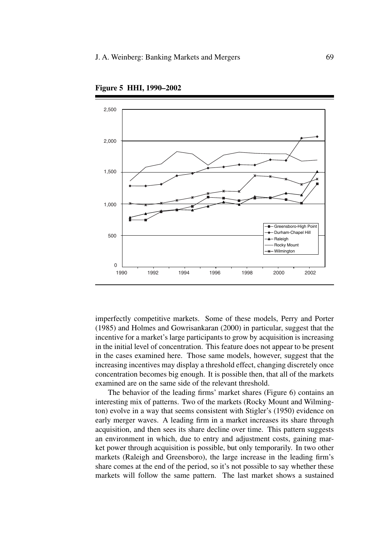

**Figure 5 HHI, 1990–2002**

imperfectly competitive markets. Some of these models, Perry and Porter (1985) and Holmes and Gowrisankaran (2000) in particular, suggest that the incentive for a market's large participants to grow by acquisition is increasing in the initial level of concentration. This feature does not appear to be present in the cases examined here. Those same models, however, suggest that the increasing incentives may display a threshold effect, changing discretely once concentration becomes big enough. It is possible then, that all of the markets examined are on the same side of the relevant threshold.

The behavior of the leading firms' market shares (Figure 6) contains an interesting mix of patterns. Two of the markets (Rocky Mount and Wilmington) evolve in a way that seems consistent with Stigler's (1950) evidence on early merger waves. A leading firm in a market increases its share through acquisition, and then sees its share decline over time. This pattern suggests an environment in which, due to entry and adjustment costs, gaining market power through acquisition is possible, but only temporarily. In two other markets (Raleigh and Greensboro), the large increase in the leading firm's share comes at the end of the period, so it's not possible to say whether these markets will follow the same pattern. The last market shows a sustained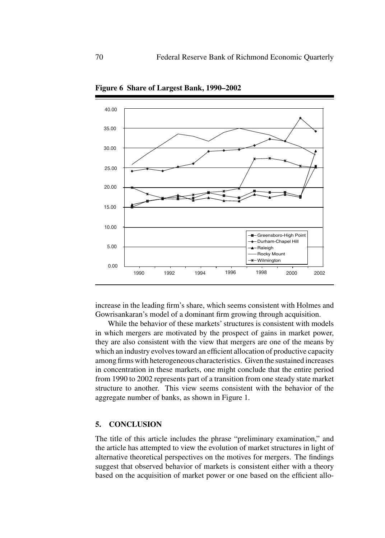

**Figure 6 Share of Largest Bank, 1990–2002**

increase in the leading firm's share, which seems consistent with Holmes and Gowrisankaran's model of a dominant firm growing through acquisition.

While the behavior of these markets' structures is consistent with models in which mergers are motivated by the prospect of gains in market power, they are also consistent with the view that mergers are one of the means by which an industry evolves toward an efficient allocation of productive capacity among firms with heterogeneous characteristics. Given the sustained increases in concentration in these markets, one might conclude that the entire period from 1990 to 2002 represents part of a transition from one steady state market structure to another. This view seems consistent with the behavior of the aggregate number of banks, as shown in Figure 1.

#### **5. CONCLUSION**

The title of this article includes the phrase "preliminary examination," and the article has attempted to view the evolution of market structures in light of alternative theoretical perspectives on the motives for mergers. The findings suggest that observed behavior of markets is consistent either with a theory based on the acquisition of market power or one based on the efficient allo-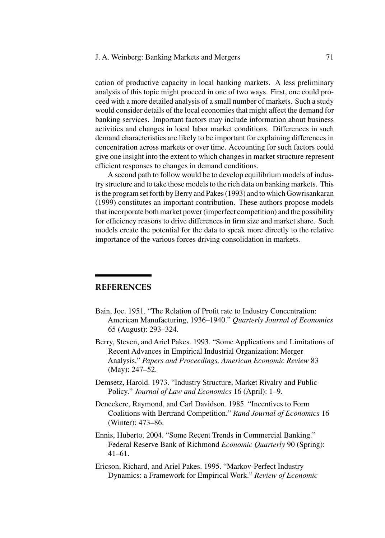# J. A. Weinberg: Banking Markets and Mergers 71

cation of productive capacity in local banking markets. A less preliminary analysis of this topic might proceed in one of two ways. First, one could proceed with a more detailed analysis of a small number of markets. Such a study would consider details of the local economies that might affect the demand for banking services. Important factors may include information about business activities and changes in local labor market conditions. Differences in such demand characteristics are likely to be important for explaining differences in concentration across markets or over time. Accounting for such factors could give one insight into the extent to which changes in market structure represent efficient responses to changes in demand conditions.

A second path to follow would be to develop equilibrium models of industry structure and to take those models to the rich data on banking markets. This is the program set forth by Berry and Pakes (1993) and to which Gowrisankaran (1999) constitutes an important contribution. These authors propose models that incorporate both market power (imperfect competition) and the possibility for efficiency reasons to drive differences in firm size and market share. Such models create the potential for the data to speak more directly to the relative importance of the various forces driving consolidation in markets.

# **REFERENCES**

- Bain, Joe. 1951. "The Relation of Profit rate to Industry Concentration: American Manufacturing, 1936–1940." *Quarterly Journal of Economics* 65 (August): 293–324.
- Berry, Steven, and Ariel Pakes. 1993. "Some Applications and Limitations of Recent Advances in Empirical Industrial Organization: Merger Analysis." *Papers and Proceedings, American Economic Review* 83 (May): 247–52.
- Demsetz, Harold. 1973. "Industry Structure, Market Rivalry and Public Policy." *Journal of Law and Economics* 16 (April): 1–9.
- Deneckere, Raymond, and Carl Davidson. 1985. "Incentives to Form Coalitions with Bertrand Competition." *Rand Journal of Economics* 16 (Winter): 473–86.
- Ennis, Huberto. 2004. "Some Recent Trends in Commercial Banking." Federal Reserve Bank of Richmond *Economic Quarterly* 90 (Spring): 41–61.
- Ericson, Richard, and Ariel Pakes. 1995. "Markov-Perfect Industry Dynamics: a Framework for Empirical Work." *Review of Economic*